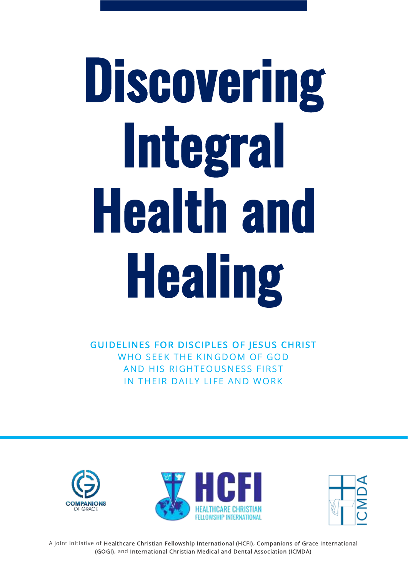# Discovering Integral Health and Healing

GUIDELINES FOR DISCIPLES OF JESUS CHRIST WHO SFFK THE KINGDOM OF GOD AND HIS RIGHTEOUSNESS FIRST IN THEIR DAILY LIFE AND WORK







A joint initiative of Healthcare Christian Fellowship International (HCFI), Companions of Grace International (GOGI), and International Christian Medical and Dental Association (ICMDA)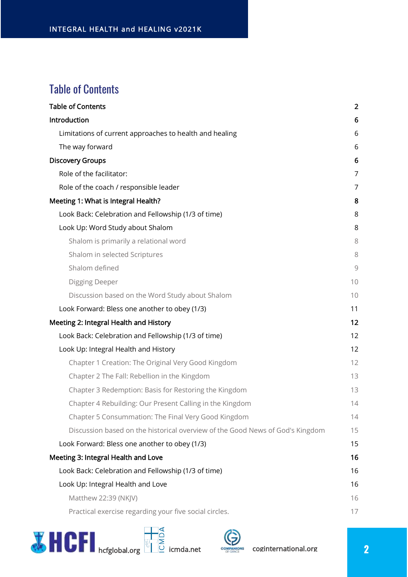### <span id="page-1-0"></span>Table of Contents

| <b>Table of Contents</b>                                                      | $\overline{2}$ |
|-------------------------------------------------------------------------------|----------------|
| Introduction                                                                  | 6              |
| Limitations of current approaches to health and healing                       | 6              |
| The way forward                                                               | 6              |
| <b>Discovery Groups</b>                                                       | 6              |
| Role of the facilitator:                                                      | $\overline{7}$ |
| Role of the coach / responsible leader                                        | 7              |
| Meeting 1: What is Integral Health?                                           | 8              |
| Look Back: Celebration and Fellowship (1/3 of time)                           | 8              |
| Look Up: Word Study about Shalom                                              | 8              |
| Shalom is primarily a relational word                                         | 8              |
| Shalom in selected Scriptures                                                 | 8              |
| Shalom defined                                                                | 9              |
| <b>Digging Deeper</b>                                                         | 10             |
| Discussion based on the Word Study about Shalom                               | 10             |
| Look Forward: Bless one another to obey (1/3)                                 | 11             |
| Meeting 2: Integral Health and History                                        | 12             |
| Look Back: Celebration and Fellowship (1/3 of time)                           | 12             |
| Look Up: Integral Health and History                                          | 12             |
| Chapter 1 Creation: The Original Very Good Kingdom                            | 12             |
| Chapter 2 The Fall: Rebellion in the Kingdom                                  | 13             |
| Chapter 3 Redemption: Basis for Restoring the Kingdom                         | 13             |
| Chapter 4 Rebuilding: Our Present Calling in the Kingdom                      | 14             |
| Chapter 5 Consummation: The Final Very Good Kingdom                           | 14             |
| Discussion based on the historical overview of the Good News of God's Kingdom | 15             |
| Look Forward: Bless one another to obey (1/3)                                 | 15             |
| Meeting 3: Integral Health and Love                                           | 16             |
| Look Back: Celebration and Fellowship (1/3 of time)                           | 16             |
| Look Up: Integral Health and Love                                             | 16             |
| Matthew 22:39 (NKJV)                                                          | 16             |
| Practical exercise regarding your five social circles.                        | 17             |



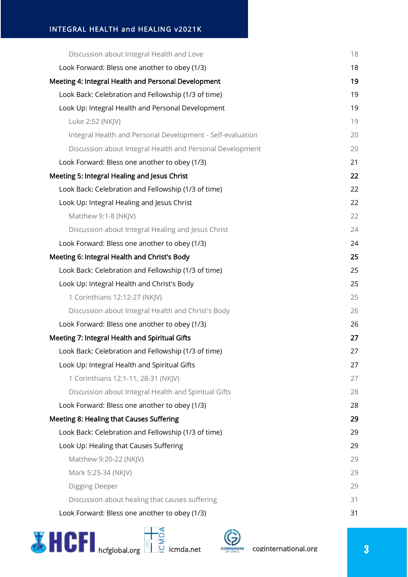| Discussion about Integral Health and Love                  | 18 |
|------------------------------------------------------------|----|
| Look Forward: Bless one another to obey (1/3)              | 18 |
| Meeting 4: Integral Health and Personal Development        | 19 |
| Look Back: Celebration and Fellowship (1/3 of time)        | 19 |
| Look Up: Integral Health and Personal Development          | 19 |
| Luke 2:52 (NKJV)                                           | 19 |
| Integral Health and Personal Development - Self-evaluation | 20 |
| Discussion about Integral Health and Personal Development  | 20 |
| Look Forward: Bless one another to obey (1/3)              | 21 |
| Meeting 5: Integral Healing and Jesus Christ               | 22 |
| Look Back: Celebration and Fellowship (1/3 of time)        | 22 |
| Look Up: Integral Healing and Jesus Christ                 | 22 |
| Matthew 9:1-8 (NKJV)                                       | 22 |
| Discussion about Integral Healing and Jesus Christ         | 24 |
| Look Forward: Bless one another to obey (1/3)              | 24 |
| Meeting 6: Integral Health and Christ's Body               | 25 |
| Look Back: Celebration and Fellowship (1/3 of time)        | 25 |
| Look Up: Integral Health and Christ's Body                 | 25 |
| 1 Corinthians 12:12-27 (NKJV)                              | 25 |
| Discussion about Integral Health and Christ's Body         | 26 |
| Look Forward: Bless one another to obey (1/3)              | 26 |
| Meeting 7: Integral Health and Spiritual Gifts             | 27 |
| Look Back: Celebration and Fellowship (1/3 of time)        | 27 |
| Look Up: Integral Health and Spiritual Gifts               | 27 |
| 1 Corinthians 12:1-11, 28-31 (NKJV)                        | 27 |
| Discussion about Integral Health and Spiritual Gifts       | 28 |
| Look Forward: Bless one another to obey (1/3)              | 28 |
| Meeting 8: Healing that Causes Suffering                   | 29 |
| Look Back: Celebration and Fellowship (1/3 of time)        | 29 |
| Look Up: Healing that Causes Suffering                     | 29 |
| Matthew 9:20-22 (NKJV)                                     | 29 |
| Mark 5:25-34 (NKJV)                                        | 29 |
| <b>Digging Deeper</b>                                      | 29 |
| Discussion about healing that causes suffering             | 31 |
| Look Forward: Bless one another to obey (1/3)              | 31 |



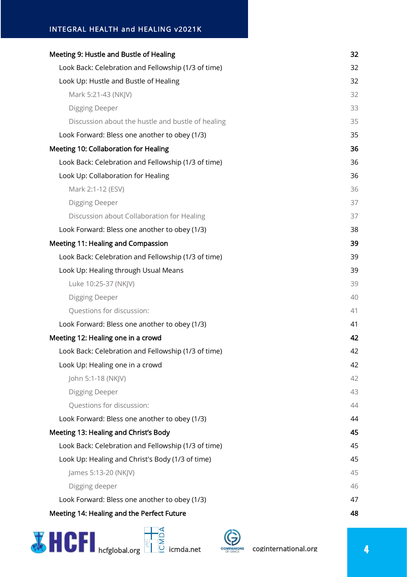| Meeting 9: Hustle and Bustle of Healing             | 32 |
|-----------------------------------------------------|----|
| Look Back: Celebration and Fellowship (1/3 of time) | 32 |
| Look Up: Hustle and Bustle of Healing               | 32 |
| Mark 5:21-43 (NKJV)                                 | 32 |
| <b>Digging Deeper</b>                               | 33 |
| Discussion about the hustle and bustle of healing   | 35 |
| Look Forward: Bless one another to obey (1/3)       | 35 |
| Meeting 10: Collaboration for Healing               | 36 |
| Look Back: Celebration and Fellowship (1/3 of time) | 36 |
| Look Up: Collaboration for Healing                  | 36 |
| Mark 2:1-12 (ESV)                                   | 36 |
| <b>Digging Deeper</b>                               | 37 |
| Discussion about Collaboration for Healing          | 37 |
| Look Forward: Bless one another to obey (1/3)       | 38 |
| Meeting 11: Healing and Compassion                  | 39 |
| Look Back: Celebration and Fellowship (1/3 of time) | 39 |
| Look Up: Healing through Usual Means                | 39 |
| Luke 10:25-37 (NKJV)                                | 39 |
| <b>Digging Deeper</b>                               | 40 |
| Questions for discussion:                           | 41 |
| Look Forward: Bless one another to obey (1/3)       | 41 |
| Meeting 12: Healing one in a crowd                  | 42 |
| Look Back: Celebration and Fellowship (1/3 of time) | 42 |
| Look Up: Healing one in a crowd                     | 42 |
| John 5:1-18 (NKJV)                                  | 42 |
| <b>Digging Deeper</b>                               | 43 |
| Questions for discussion:                           | 44 |
| Look Forward: Bless one another to obey (1/3)       | 44 |
| Meeting 13: Healing and Christ's Body               | 45 |
| Look Back: Celebration and Fellowship (1/3 of time) | 45 |
| Look Up: Healing and Christ's Body (1/3 of time)    | 45 |
| James 5:13-20 (NKJV)                                | 45 |
| Digging deeper                                      | 46 |
| Look Forward: Bless one another to obey (1/3)       | 47 |
| Meeting 14: Healing and the Perfect Future          | 48 |



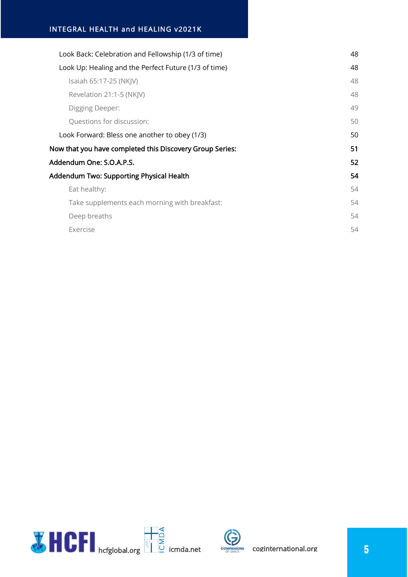| Look Back: Celebration and Fellowship (1/3 of time)      | 48 |
|----------------------------------------------------------|----|
| Look Up: Healing and the Perfect Future (1/3 of time)    | 48 |
| Isaiah 65:17-25 (NKJV)                                   | 48 |
| Revelation 21:1-5 (NKJV)                                 | 48 |
| Digging Deeper:                                          | 49 |
| Questions for discussion:                                | 50 |
| Look Forward: Bless one another to obey (1/3)            | 50 |
| Now that you have completed this Discovery Group Series: | 51 |
| Addendum One: S.O.A.P.S.                                 | 52 |
| Addendum Two: Supporting Physical Health                 | 54 |
| Eat healthy:                                             | 54 |
| Take supplements each morning with breakfast:            | 54 |
| Deep breaths                                             | 54 |
| Exercise                                                 | 54 |



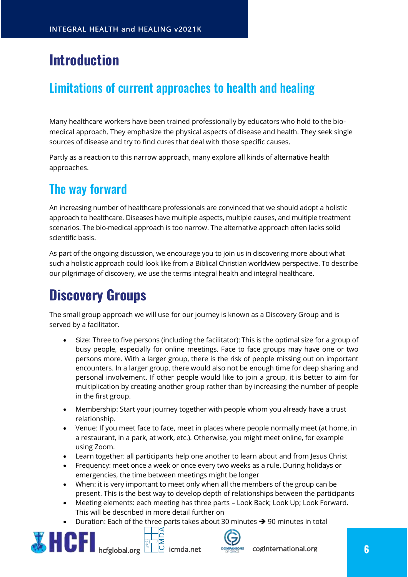# <span id="page-5-0"></span>**Introduction**

## <span id="page-5-1"></span>Limitations of current approaches to health and healing

Many healthcare workers have been trained professionally by educators who hold to the biomedical approach. They emphasize the physical aspects of disease and health. They seek single sources of disease and try to find cures that deal with those specific causes.

Partly as a reaction to this narrow approach, many explore all kinds of alternative health approaches.

## <span id="page-5-2"></span>The way forward

An increasing number of healthcare professionals are convinced that we should adopt a holistic approach to healthcare. Diseases have multiple aspects, multiple causes, and multiple treatment scenarios. The bio-medical approach is too narrow. The alternative approach often lacks solid scientific basis.

As part of the ongoing discussion, we encourage you to join us in discovering more about what such a holistic approach could look like from a Biblical Christian worldview perspective. To describe our pilgrimage of discovery, we use the terms integral health and integral healthcare.

# <span id="page-5-3"></span>**Discovery Groups**

The small group approach we will use for our journey is known as a Discovery Group and is served by a facilitator.

- Size: Three to five persons (including the facilitator): This is the optimal size for a group of busy people, especially for online meetings. Face to face groups may have one or two persons more. With a larger group, there is the risk of people missing out on important encounters. In a larger group, there would also not be enough time for deep sharing and personal involvement. If other people would like to join a group, it is better to aim for multiplication by creating another group rather than by increasing the number of people in the first group.
- Membership: Start your journey together with people whom you already have a trust relationship.
- Venue: If you meet face to face, meet in places where people normally meet (at home, in a restaurant, in a park, at work, etc.). Otherwise, you might meet online, for example using Zoom.
- Learn together: all participants help one another to learn about and from Jesus Christ
- Frequency: meet once a week or once every two weeks as a rule. During holidays or emergencies, the time between meetings might be longer
- When: it is very important to meet only when all the members of the group can be present. This is the best way to develop depth of relationships between the participants
- Meeting elements: each meeting has three parts Look Back; Look Up; Look Forward. This will be described in more detail further on
- Duration: Each of the three parts takes about 30 minutes  $\rightarrow$  90 minutes in total



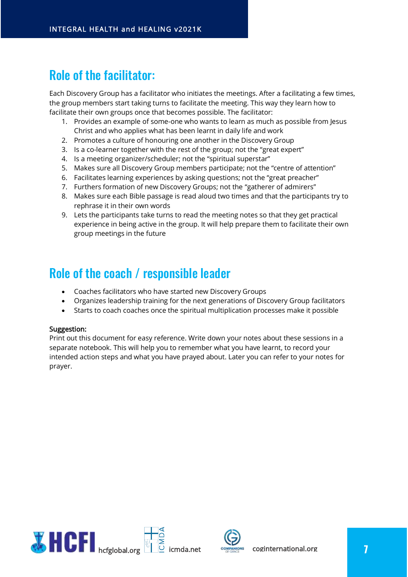## <span id="page-6-0"></span>Role of the facilitator:

Each Discovery Group has a facilitator who initiates the meetings. After a facilitating a few times, the group members start taking turns to facilitate the meeting. This way they learn how to facilitate their own groups once that becomes possible. The facilitator:

- 1. Provides an example of some-one who wants to learn as much as possible from Jesus Christ and who applies what has been learnt in daily life and work
- 2. Promotes a culture of honouring one another in the Discovery Group
- 3. Is a co-learner together with the rest of the group; not the "great expert"
- 4. Is a meeting organizer/scheduler; not the "spiritual superstar"
- 5. Makes sure all Discovery Group members participate; not the "centre of attention"
- 6. Facilitates learning experiences by asking questions; not the "great preacher"
- 7. Furthers formation of new Discovery Groups; not the "gatherer of admirers"
- 8. Makes sure each Bible passage is read aloud two times and that the participants try to rephrase it in their own words
- 9. Lets the participants take turns to read the meeting notes so that they get practical experience in being active in the group. It will help prepare them to facilitate their own group meetings in the future

## <span id="page-6-1"></span>Role of the coach / responsible leader

- Coaches facilitators who have started new Discovery Groups
- Organizes leadership training for the next generations of Discovery Group facilitators
- Starts to coach coaches once the spiritual multiplication processes make it possible

#### Suggestion:

Print out this document for easy reference. Write down your notes about these sessions in a separate notebook. This will help you to remember what you have learnt, to record your intended action steps and what you have prayed about. Later you can refer to your notes for prayer.



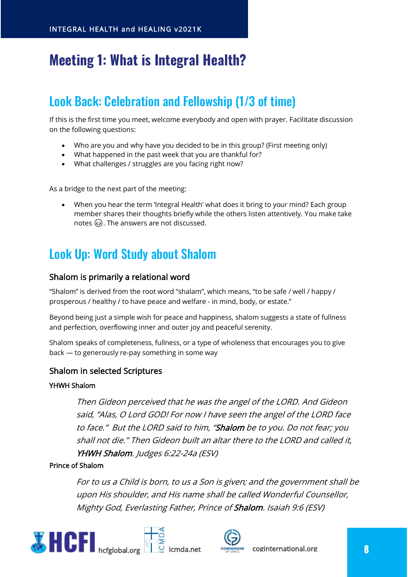# <span id="page-7-0"></span>**Meeting 1: What is Integral Health?**

## <span id="page-7-1"></span>Look Back: Celebration and Fellowship (1/3 of time)

If this is the first time you meet, welcome everybody and open with prayer. Facilitate discussion on the following questions:

- Who are you and why have you decided to be in this group? (First meeting only)
- What happened in the past week that you are thankful for?
- What challenges / struggles are you facing right now?

As a bridge to the next part of the meeting:

• When you hear the term 'Integral Health' what does it bring to your mind? Each group member shares their thoughts briefly while the others listen attentively. You make take notes  $\odot$ . The answers are not discussed.

## <span id="page-7-2"></span>Look Up: Word Study about Shalom

#### <span id="page-7-3"></span>Shalom is primarily a relational word

"Shalom" is derived from the root word "shalam", which means, "to be safe / well / happy / prosperous / healthy / to have peace and welfare - in mind, body, or estate."

Beyond being just a simple wish for peace and happiness, shalom suggests a state of fullness and perfection, overflowing inner and outer joy and peaceful serenity.

Shalom speaks of completeness, fullness, or a type of wholeness that encourages you to give back — to generously re-pay something in some way

#### <span id="page-7-4"></span>Shalom in selected Scriptures

#### YHWH Shalom

Then Gideon perceived that he was the angel of the LORD. And Gideon said, "Alas, O Lord GOD! For now I have seen the angel of the LORD face to face." But the LORD said to him, "Shalom be to you. Do not fear; you shall not die." Then Gideon built an altar there to the LORD and called it, YHWH Shalom. Judges 6:22-24a (ESV)

#### Prince of Shalom

For to us a Child is born, to us a Son is given; and the government shall be upon His shoulder, and His name shall be called Wonderful Counsellor, Mighty God, Everlasting Father, Prince of Shalom. Isaiah 9:6 (ESV)



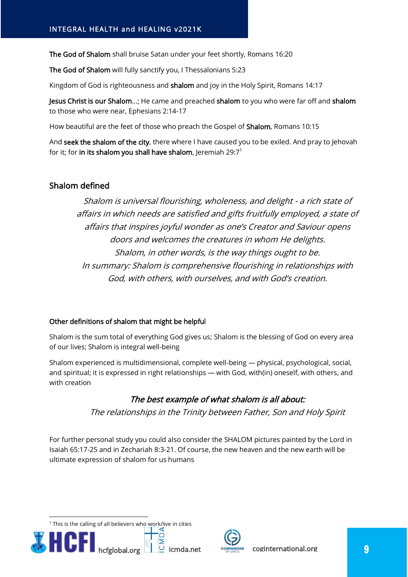The God of Shalom shall bruise Satan under your feet shortly, Romans 16:20

The God of Shalom will fully sanctify you, I Thessalonians 5:23

Kingdom of God is righteousness and shalom and joy in the Holy Spirit, Romans 14:17

Jesus Christ is our Shalom…; He came and preached shalom to you who were far off and shalom to those who were near, Ephesians 2:14-17

How beautiful are the feet of those who preach the Gospel of Shalom, Romans 10:15

And seek the shalom of the city, there where I have caused you to be exiled. And pray to Jehovah for it; for in its shalom you shall have shalom, Jeremiah  $29:7<sup>1</sup>$ 

#### <span id="page-8-0"></span>Shalom defined

Shalom is universal flourishing, wholeness, and delight - a rich state of affairs in which needs are satisfied and gifts fruitfully employed, a state of affairs that inspires joyful wonder as one's Creator and Saviour opens doors and welcomes the creatures in whom He delights. Shalom, in other words, is the way things ought to be. In summary: Shalom is comprehensive flourishing in relationships with God, with others, with ourselves, and with God's creation.

#### Other definitions of shalom that might be helpful

Shalom is the sum total of everything God gives us; Shalom is the blessing of God on every area of our lives; Shalom is integral well-being

Shalom experienced is multidimensional, complete well-being — physical, psychological, social, and spiritual; it is expressed in right relationships — with God, with(in) oneself, with others, and with creation

#### The best example of what shalom is all about:

The relationships in the Trinity between Father, Son and Holy Spirit

For further personal study you could also consider the SHALOM pictures painted by the Lord in Isaiah 65:17-25 and in Zechariah 8:3-21. Of course, the new heaven and the new earth will be ultimate expression of shalom for us humans

<sup>1</sup> This is the calling of all believers who work/live in cities



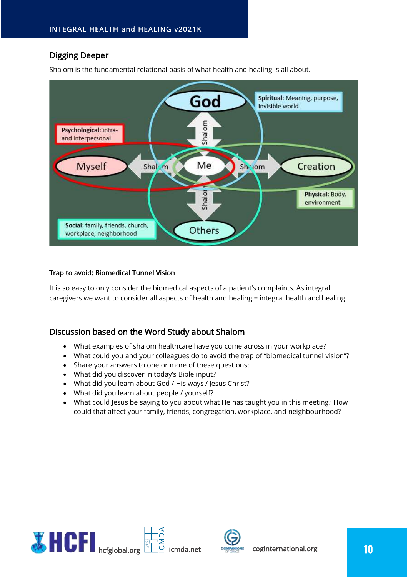#### <span id="page-9-0"></span>Digging Deeper



Shalom is the fundamental relational basis of what health and healing is all about.

#### Trap to avoid: Biomedical Tunnel Vision

It is so easy to only consider the biomedical aspects of a patient's complaints. As integral caregivers we want to consider all aspects of health and healing = integral health and healing.

#### <span id="page-9-1"></span>Discussion based on the Word Study about Shalom

- What examples of shalom healthcare have you come across in your workplace?
- What could you and your colleagues do to avoid the trap of "biomedical tunnel vision"?
- Share your answers to one or more of these questions:
- What did you discover in today's Bible input?
- What did you learn about God / His ways / Jesus Christ?
- What did you learn about people / yourself?
- What could Jesus be saying to you about what He has taught you in this meeting? How could that affect your family, friends, congregation, workplace, and neighbourhood?



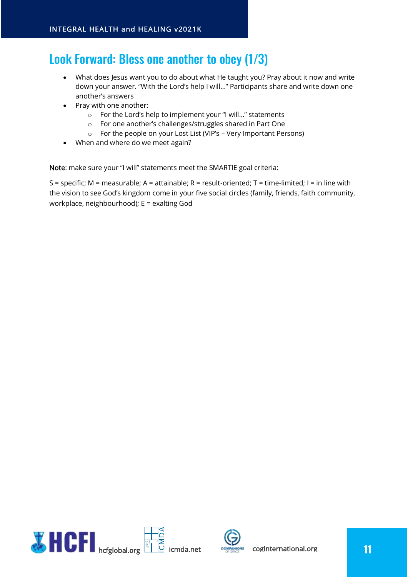## <span id="page-10-0"></span>Look Forward: Bless one another to obey (1/3)

- What does Jesus want you to do about what He taught you? Pray about it now and write down your answer. "With the Lord's help I will…" Participants share and write down one another's answers
- Pray with one another:
	- o For the Lord's help to implement your "I will…" statements
	- o For one another's challenges/struggles shared in Part One
	- o For the people on your Lost List (VIP's Very Important Persons)
- When and where do we meet again?

Note: make sure your "I will" statements meet the SMARTIE goal criteria:



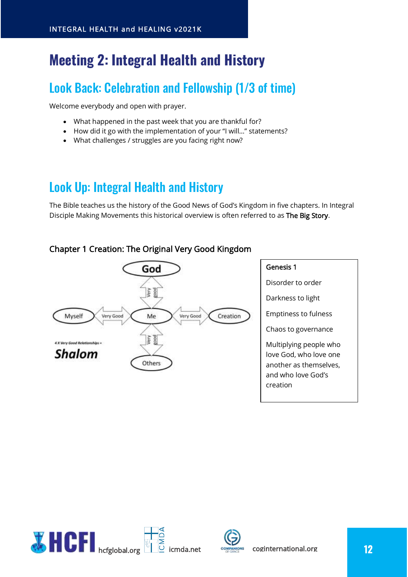# <span id="page-11-0"></span>**Meeting 2: Integral Health and History**

## <span id="page-11-1"></span>Look Back: Celebration and Fellowship (1/3 of time)

Welcome everybody and open with prayer.

- What happened in the past week that you are thankful for?
- How did it go with the implementation of your "I will…" statements?
- What challenges / struggles are you facing right now?

# <span id="page-11-2"></span>Look Up: Integral Health and History

The Bible teaches us the history of the Good News of God's Kingdom in five chapters. In Integral Disciple Making Movements this historical overview is often referred to as The Big Story.



#### <span id="page-11-3"></span>Chapter 1 Creation: The Original Very Good Kingdom





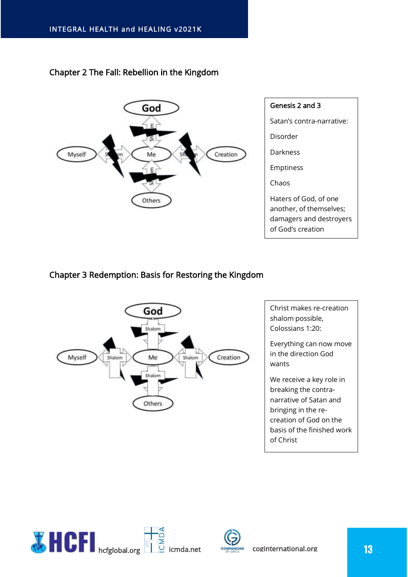

#### <span id="page-12-0"></span>Chapter 2 The Fall: Rebellion in the Kingdom



#### <span id="page-12-1"></span>Chapter 3 Redemption: Basis for Restoring the Kingdom





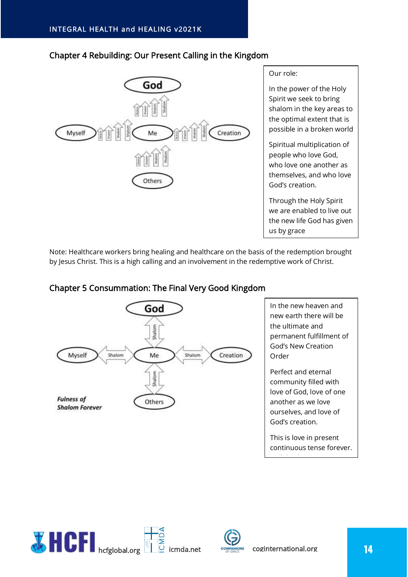

#### <span id="page-13-0"></span>Chapter 4 Rebuilding: Our Present Calling in the Kingdom

Our role:

In the power of the Holy Spirit we seek to bring shalom in the key areas to the optimal extent that is possible in a broken world

Spiritual multiplication of people who love God, who love one another as themselves, and who love God's creation.

Through the Holy Spirit we are enabled to live out the new life God has given us by grace

Note: Healthcare workers bring healing and healthcare on the basis of the redemption brought by Jesus Christ. This is a high calling and an involvement in the redemptive work of Christ.



#### <span id="page-13-1"></span>Chapter 5 Consummation: The Final Very Good Kingdom

In the new heaven and new earth there will be the ultimate and permanent fulfillment of God's New Creation Order

Perfect and eternal community filled with love of God, love of one another as we love ourselves, and love of God's creation.

This is love in present continuous tense forever. Hallelujah!



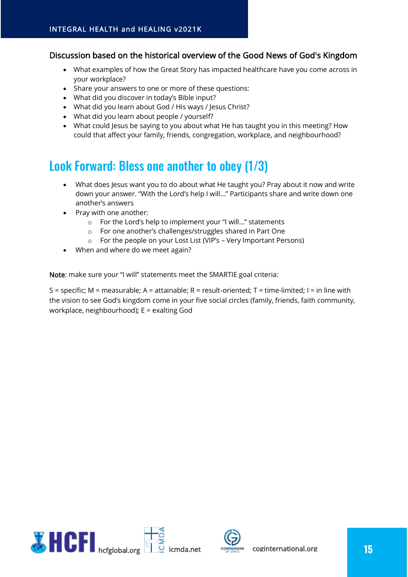#### <span id="page-14-0"></span>Discussion based on the historical overview of the Good News of God's Kingdom

- What examples of how the Great Story has impacted healthcare have you come across in your workplace?
- Share your answers to one or more of these questions:
- What did you discover in today's Bible input?
- What did you learn about God / His ways / Jesus Christ?
- What did you learn about people / yourself?
- What could Jesus be saying to you about what He has taught you in this meeting? How could that affect your family, friends, congregation, workplace, and neighbourhood?

## <span id="page-14-1"></span>Look Forward: Bless one another to obey (1/3)

- What does Jesus want you to do about what He taught you? Pray about it now and write down your answer. "With the Lord's help I will…" Participants share and write down one another's answers
- Pray with one another:
	- o For the Lord's help to implement your "I will…" statements
	- o For one another's challenges/struggles shared in Part One
	- o For the people on your Lost List (VIP's Very Important Persons)
- When and where do we meet again?

Note: make sure your "I will" statements meet the SMARTIE goal criteria:



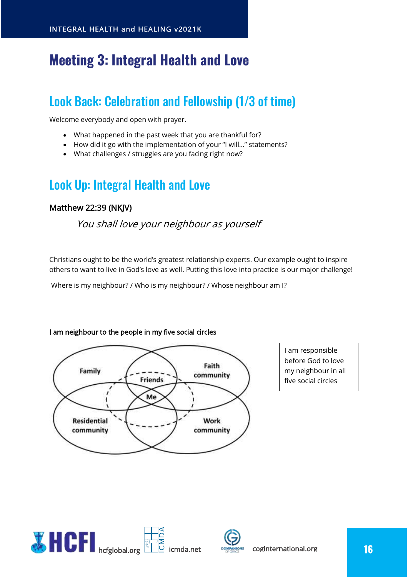# <span id="page-15-0"></span>**Meeting 3: Integral Health and Love**

## <span id="page-15-1"></span>Look Back: Celebration and Fellowship (1/3 of time)

Welcome everybody and open with prayer.

- What happened in the past week that you are thankful for?
- How did it go with the implementation of your "I will…" statements?
- What challenges / struggles are you facing right now?

## <span id="page-15-2"></span>Look Up: Integral Health and Love

#### <span id="page-15-3"></span>Matthew 22:39 (NKJV)

You shall love your neighbour as yourself

Christians ought to be the world's greatest relationship experts. Our example ought to inspire others to want to live in God's love as well. Putting this love into practice is our major challenge!

Where is my neighbour? / Who is my neighbour? / Whose neighbour am I?



I am neighbour to the people in my five social circles

I am responsible before God to love my neighbour in all five social circles



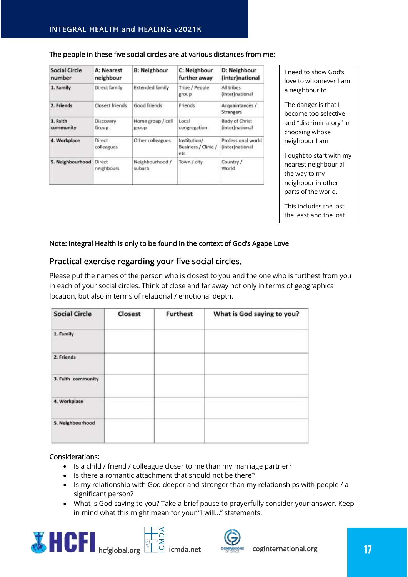#### INTEGRAL HEALTH and HEALING v2021K

| <b>Social Circle</b><br>number | A: Nearest<br>neighbour | <b>B: Neighbour</b>        | C: Neighbour<br>further away               | D: Neighbour<br>(inter)national       |
|--------------------------------|-------------------------|----------------------------|--------------------------------------------|---------------------------------------|
| 1. Family                      | Direct family           | <b>Extended family</b>     | Tribe / People<br>group                    | All tribes<br>(inter)national         |
| 2. Friends                     | Closest friends         | Good friends               | Friends                                    | Acquaintances /<br>Strangers          |
| 3. Faith<br>community          | Discovery<br>Group      | Home group / cell<br>group | Local<br>congregation                      | Body of Christ<br>(inter)national     |
| 4. Workplace                   | Direct<br>colleagues    | Other colleagues           | Institution/<br>Business / Clinic /<br>etc | Professional world<br>(inter)national |
| 5. Neighbourhood               | Direct<br>neighbours    | Neighbourhood /<br>suburb  | Town / city                                | Country /<br>World                    |

The people in these five social circles are at various distances from me:

I need to show God's love to whomever I am a neighbour to

The danger is that I become too selective and "discriminatory" in choosing whose neighbour I am

I ought to start with my nearest neighbour all the way to my neighbour in other parts of the world.

This includes the last, the least and the lost

#### Note: Integral Health is only to be found in the context of God's Agape Love

#### <span id="page-16-0"></span>Practical exercise regarding your five social circles.

Please put the names of the person who is closest to you and the one who is furthest from you in each of your social circles. Think of close and far away not only in terms of geographical location, but also in terms of relational / emotional depth.

| <b>Social Circle</b> | Closest | <b>Furthest</b> | What is God saying to you? |
|----------------------|---------|-----------------|----------------------------|
| 1. Family            |         |                 |                            |
| 2. Friends           |         |                 |                            |
| 3. Faith community   |         |                 |                            |
| 4. Workplace         |         |                 |                            |
| 5. Neighbourhood     |         |                 |                            |
|                      |         |                 |                            |

#### Considerations:

- Is a child / friend / colleague closer to me than my marriage partner?
- Is there a romantic attachment that should not be there?
- Is my relationship with God deeper and stronger than my relationships with people / a significant person?
- What is God saying to you? Take a brief pause to prayerfully consider your answer. Keep in mind what this might mean for your "I will…" statements.



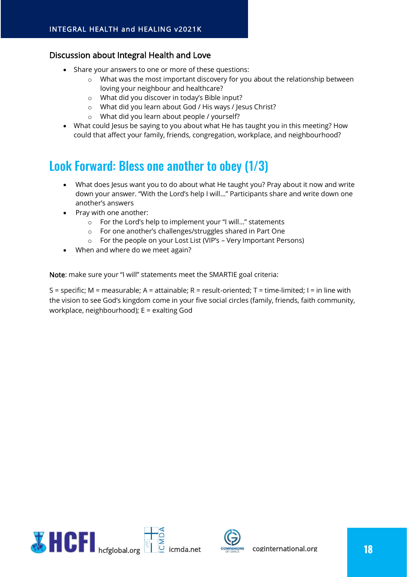#### <span id="page-17-0"></span>Discussion about Integral Health and Love

- Share your answers to one or more of these questions:
	- o What was the most important discovery for you about the relationship between loving your neighbour and healthcare?
	- o What did you discover in today's Bible input?
	- o What did you learn about God / His ways / Jesus Christ?
	- o What did you learn about people / yourself?
- What could Jesus be saying to you about what He has taught you in this meeting? How could that affect your family, friends, congregation, workplace, and neighbourhood?

## <span id="page-17-1"></span>Look Forward: Bless one another to obey (1/3)

- What does Jesus want you to do about what He taught you? Pray about it now and write down your answer. "With the Lord's help I will…" Participants share and write down one another's answers
- Pray with one another:
	- o For the Lord's help to implement your "I will…" statements
	- o For one another's challenges/struggles shared in Part One
	- o For the people on your Lost List (VIP's Very Important Persons)
- When and where do we meet again?

Note: make sure your "I will" statements meet the SMARTIE goal criteria:



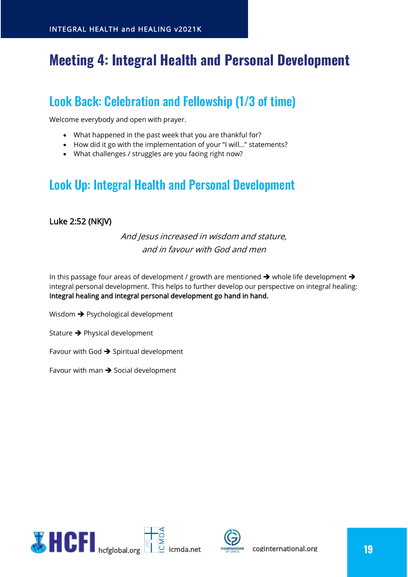# <span id="page-18-0"></span>**Meeting 4: Integral Health and Personal Development**

## <span id="page-18-1"></span>Look Back: Celebration and Fellowship (1/3 of time)

Welcome everybody and open with prayer.

- What happened in the past week that you are thankful for?
- How did it go with the implementation of your "I will…" statements?
- What challenges / struggles are you facing right now?

## <span id="page-18-2"></span>Look Up: Integral Health and Personal Development

#### <span id="page-18-3"></span>Luke 2:52 (NKJV)

And Jesus increased in wisdom and stature, and in favour with God and men

In this passage four areas of development / growth are mentioned  $\rightarrow$  whole life development  $\rightarrow$ integral personal development. This helps to further develop our perspective on integral healing: Integral healing and integral personal development go hand in hand.

Wisdom ➔ Psychological development

Stature ➔ Physical development

Favour with God ➔ Spiritual development

Favour with man ➔ Social development



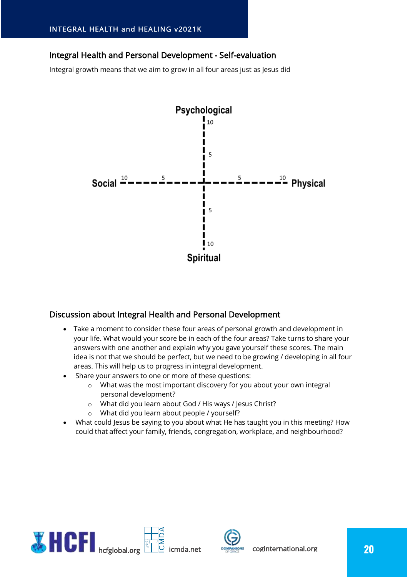#### <span id="page-19-0"></span>Integral Health and Personal Development - Self-evaluation

Integral growth means that we aim to grow in all four areas just as Jesus did



#### <span id="page-19-1"></span>Discussion about Integral Health and Personal Development

- Take a moment to consider these four areas of personal growth and development in your life. What would your score be in each of the four areas? Take turns to share your answers with one another and explain why you gave yourself these scores. The main idea is not that we should be perfect, but we need to be growing / developing in all four areas. This will help us to progress in integral development.
- Share your answers to one or more of these questions:
	- o What was the most important discovery for you about your own integral personal development?
	- o What did you learn about God / His ways / Jesus Christ?
	- o What did you learn about people / yourself?
- What could Jesus be saying to you about what He has taught you in this meeting? How could that affect your family, friends, congregation, workplace, and neighbourhood?



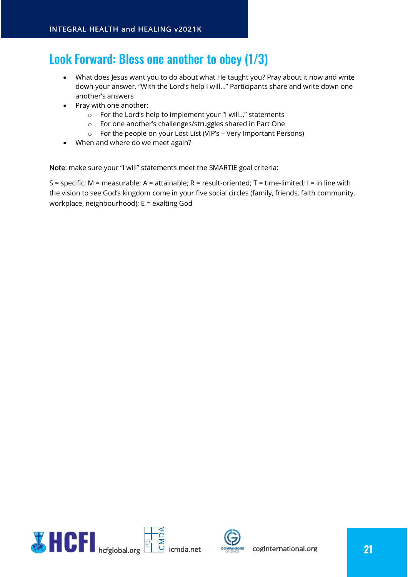## <span id="page-20-0"></span>Look Forward: Bless one another to obey (1/3)

- What does Jesus want you to do about what He taught you? Pray about it now and write down your answer. "With the Lord's help I will…" Participants share and write down one another's answers
- Pray with one another:
	- o For the Lord's help to implement your "I will…" statements
	- o For one another's challenges/struggles shared in Part One
	- o For the people on your Lost List (VIP's Very Important Persons)
- When and where do we meet again?

Note: make sure your "I will" statements meet the SMARTIE goal criteria:



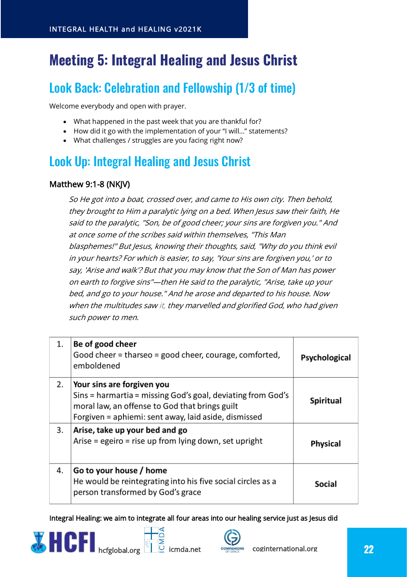# <span id="page-21-0"></span>**Meeting 5: Integral Healing and Jesus Christ**

## <span id="page-21-1"></span>Look Back: Celebration and Fellowship (1/3 of time)

Welcome everybody and open with prayer.

- What happened in the past week that you are thankful for?
- How did it go with the implementation of your "I will…" statements?
- What challenges / struggles are you facing right now?

## <span id="page-21-2"></span>Look Up: Integral Healing and Jesus Christ

#### <span id="page-21-3"></span>Matthew 9:1-8 (NKJV)

So He got into a boat, crossed over, and came to His own city. Then behold, they brought to Him a paralytic lying on a bed. When Jesus saw their faith, He said to the paralytic, "Son, be of good cheer; your sins are forgiven you." And at once some of the scribes said within themselves, "This Man blasphemes!" But Jesus, knowing their thoughts, said, "Why do you think evil in your hearts? For which is easier, to say, 'Your sins are forgiven you,' or to say, 'Arise and walk'? But that you may know that the Son of Man has power on earth to forgive sins"—then He said to the paralytic, "Arise, take up your bed, and go to your house." And he arose and departed to his house. Now when the multitudes saw it, they marvelled and glorified God, who had given such power to men.

| 1. | Be of good cheer<br>Good cheer = tharseo = good cheer, courage, comforted,<br>emboldened                                                                                                            | Psychological    |
|----|-----------------------------------------------------------------------------------------------------------------------------------------------------------------------------------------------------|------------------|
| 2. | Your sins are forgiven you<br>Sins = harmartia = missing God's goal, deviating from God's<br>moral law, an offense to God that brings guilt<br>Forgiven = aphiemi: sent away, laid aside, dismissed | <b>Spiritual</b> |
| 3. | Arise, take up your bed and go<br>Arise = egeiro = rise up from lying down, set upright                                                                                                             | <b>Physical</b>  |
| 4. | Go to your house / home<br>He would be reintegrating into his five social circles as a<br>person transformed by God's grace                                                                         | <b>Social</b>    |

Integral Healing: we aim to integrate all four areas into our healing service just as Jesus did



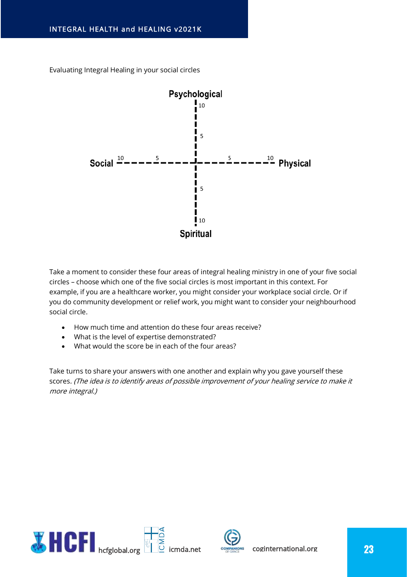Evaluating Integral Healing in your social circles



Take a moment to consider these four areas of integral healing ministry in one of your five social circles – choose which one of the five social circles is most important in this context. For example, if you are a healthcare worker, you might consider your workplace social circle. Or if you do community development or relief work, you might want to consider your neighbourhood social circle.

- How much time and attention do these four areas receive?
- What is the level of expertise demonstrated?
- What would the score be in each of the four areas?

Take turns to share your answers with one another and explain why you gave yourself these scores. (The idea is to identify areas of possible improvement of your healing service to make it more integral.)



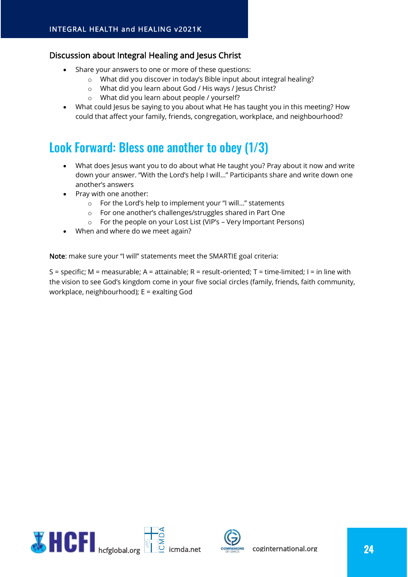#### <span id="page-23-0"></span>Discussion about Integral Healing and Jesus Christ

- Share your answers to one or more of these questions:
	- o What did you discover in today's Bible input about integral healing?
	- o What did you learn about God / His ways / Jesus Christ?
	- o What did you learn about people / yourself?
- What could Jesus be saying to you about what He has taught you in this meeting? How could that affect your family, friends, congregation, workplace, and neighbourhood?

## <span id="page-23-1"></span>Look Forward: Bless one another to obey (1/3)

- What does Jesus want you to do about what He taught you? Pray about it now and write down your answer. "With the Lord's help I will…" Participants share and write down one another's answers
- Pray with one another:
	- o For the Lord's help to implement your "I will…" statements
	- o For one another's challenges/struggles shared in Part One
	- o For the people on your Lost List (VIP's Very Important Persons)
- When and where do we meet again?

Note: make sure your "I will" statements meet the SMARTIE goal criteria:



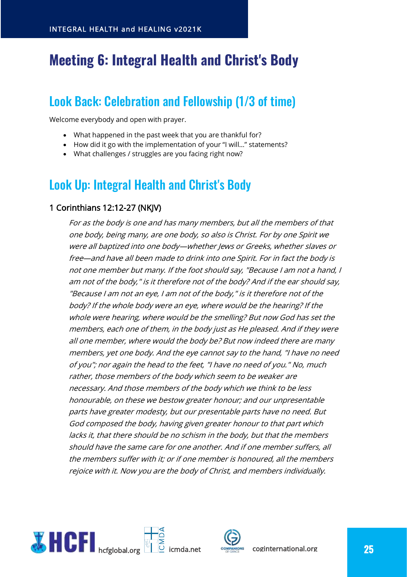# <span id="page-24-0"></span>**Meeting 6: Integral Health and Christ's Body**

## <span id="page-24-1"></span>Look Back: Celebration and Fellowship (1/3 of time)

Welcome everybody and open with prayer.

- What happened in the past week that you are thankful for?
- How did it go with the implementation of your "I will…" statements?
- What challenges / struggles are you facing right now?

## <span id="page-24-2"></span>Look Up: Integral Health and Christ's Body

#### <span id="page-24-3"></span>1 Corinthians 12:12-27 (NKJV)

For as the body is one and has many members, but all the members of that one body, being many, are one body, so also is Christ. For by one Spirit we were all baptized into one body—whether Jews or Greeks, whether slaves or free—and have all been made to drink into one Spirit. For in fact the body is not one member but many. If the foot should say, "Because I am not a hand, I am not of the body," is it therefore not of the body? And if the ear should say, "Because I am not an eye, I am not of the body," is it therefore not of the body? If the whole body were an eye, where would be the hearing? If the whole were hearing, where would be the smelling? But now God has set the members, each one of them, in the body just as He pleased. And if they were all one member, where would the body be? But now indeed there are many members, yet one body. And the eye cannot say to the hand, "I have no need of you"; nor again the head to the feet, "I have no need of you." No, much rather, those members of the body which seem to be weaker are necessary. And those members of the body which we think to be less honourable, on these we bestow greater honour; and our unpresentable parts have greater modesty, but our presentable parts have no need. But God composed the body, having given greater honour to that part which lacks it, that there should be no schism in the body, but that the members should have the same care for one another. And if one member suffers, all the members suffer with it; or if one member is honoured, all the members rejoice with it. Now you are the body of Christ, and members individually.



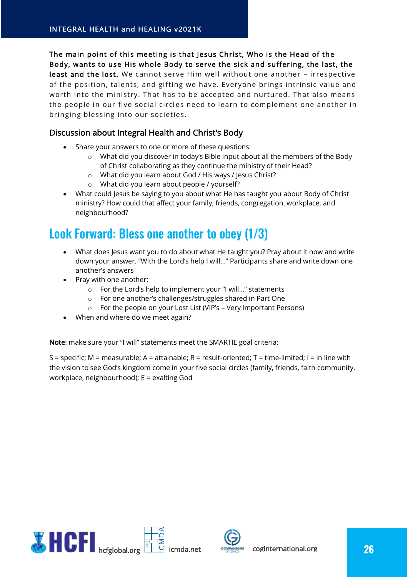The main point of this meeting is that Jesus Christ, Who is the Head of the Body, wants to use His whole Body to serve the sick and suffering, the last, the least and the lost. We cannot serve Him well without one another – irrespective of the position, talents, and gifting we have. Everyone brings intrinsic value and worth into the ministry. That has to be accepted and nurtured. That also means the people in our five social circles need to learn to complement one another in bringing blessing into our societies.

#### <span id="page-25-0"></span>Discussion about Integral Health and Christ's Body

- Share your answers to one or more of these questions:
	- o What did you discover in today's Bible input about all the members of the Body of Christ collaborating as they continue the ministry of their Head?
	- o What did you learn about God / His ways / Jesus Christ?
	- o What did you learn about people / yourself?
- What could Jesus be saying to you about what He has taught you about Body of Christ ministry? How could that affect your family, friends, congregation, workplace, and neighbourhood?

## <span id="page-25-1"></span>Look Forward: Bless one another to obey (1/3)

- What does Jesus want you to do about what He taught you? Pray about it now and write down your answer. "With the Lord's help I will…" Participants share and write down one another's answers
- Pray with one another:
	- o For the Lord's help to implement your "I will…" statements
	- o For one another's challenges/struggles shared in Part One
	- o For the people on your Lost List (VIP's Very Important Persons)
- When and where do we meet again?

Note: make sure your "I will" statements meet the SMARTIE goal criteria:



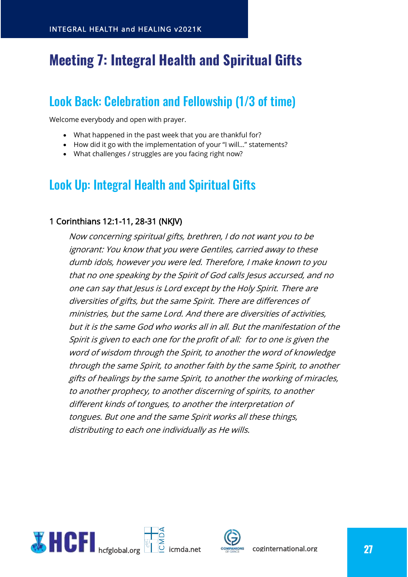# <span id="page-26-0"></span>**Meeting 7: Integral Health and Spiritual Gifts**

## <span id="page-26-1"></span>Look Back: Celebration and Fellowship (1/3 of time)

Welcome everybody and open with prayer.

- What happened in the past week that you are thankful for?
- How did it go with the implementation of your "I will…" statements?
- What challenges / struggles are you facing right now?

## <span id="page-26-2"></span>Look Up: Integral Health and Spiritual Gifts

#### <span id="page-26-3"></span>1 Corinthians 12:1-11, 28-31 (NKJV)

Now concerning spiritual gifts, brethren, I do not want you to be ignorant: You know that you were Gentiles, carried away to these dumb idols, however you were led. Therefore, I make known to you that no one speaking by the Spirit of God calls Jesus accursed, and no one can say that Jesus is Lord except by the Holy Spirit. There are diversities of gifts, but the same Spirit. There are differences of ministries, but the same Lord. And there are diversities of activities, but it is the same God who works all in all. But the manifestation of the Spirit is given to each one for the profit of all: for to one is given the word of wisdom through the Spirit, to another the word of knowledge through the same Spirit, to another faith by the same Spirit, to another gifts of healings by the same Spirit, to another the working of miracles, to another prophecy, to another discerning of spirits, to another different kinds of tongues, to another the interpretation of tongues. But one and the same Spirit works all these things, distributing to each one individually as He wills.



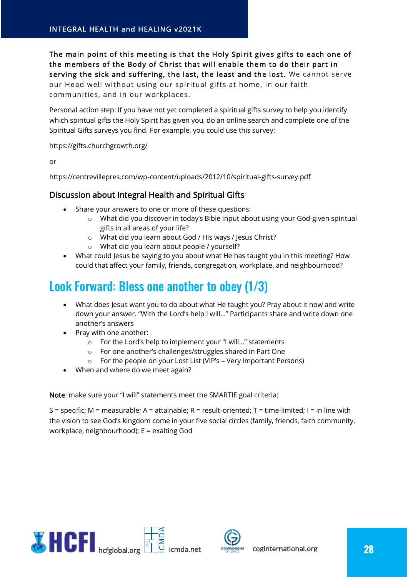The main point of this meeting is that the Holy Spirit gives gifts to each one of the members of the Body of Christ that will enable them to do their part in serving the sick and suffering, the last, the least and the lost. We cannot serve our Head well without using our spiritual gifts at home, in our faith communities, and in our workplaces.

Personal action step: If you have not yet completed a spiritual gifts survey to help you identify which spiritual gifts the Holy Spirit has given you, do an online search and complete one of the Spiritual Gifts surveys you find. For example, you could use this survey:

https://gifts.churchgrowth.org/

or

https://centrevillepres.com/wp-content/uploads/2012/10/spiritual-gifts-survey.pdf

#### <span id="page-27-0"></span>Discussion about Integral Health and Spiritual Gifts

- Share your answers to one or more of these questions:
	- $\circ$  What did you discover in today's Bible input about using your God-given spiritual gifts in all areas of your life?
	- o What did you learn about God / His ways / Jesus Christ?
	- o What did you learn about people / yourself?
- What could Jesus be saying to you about what He has taught you in this meeting? How could that affect your family, friends, congregation, workplace, and neighbourhood?

## <span id="page-27-1"></span>Look Forward: Bless one another to obey (1/3)

- What does Jesus want you to do about what He taught you? Pray about it now and write down your answer. "With the Lord's help I will…" Participants share and write down one another's answers
- Pray with one another:
	- o For the Lord's help to implement your "I will…" statements
	- o For one another's challenges/struggles shared in Part One
	- o For the people on your Lost List (VIP's Very Important Persons)
- When and where do we meet again?

Note: make sure your "I will" statements meet the SMARTIE goal criteria:



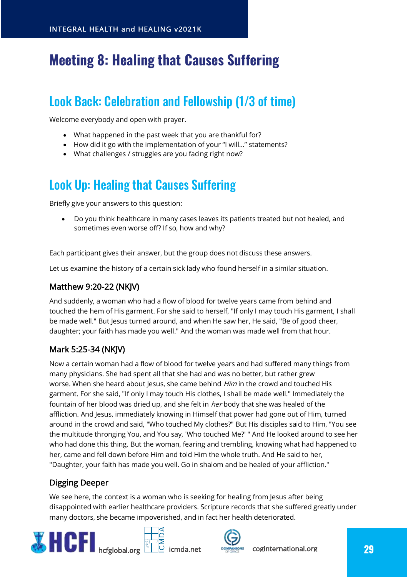# <span id="page-28-0"></span>**Meeting 8: Healing that Causes Suffering**

## <span id="page-28-1"></span>Look Back: Celebration and Fellowship (1/3 of time)

Welcome everybody and open with prayer.

- What happened in the past week that you are thankful for?
- How did it go with the implementation of your "I will…" statements?
- What challenges / struggles are you facing right now?

## <span id="page-28-2"></span>Look Up: Healing that Causes Suffering

Briefly give your answers to this question:

• Do you think healthcare in many cases leaves its patients treated but not healed, and sometimes even worse off? If so, how and why?

Each participant gives their answer, but the group does not discuss these answers.

Let us examine the history of a certain sick lady who found herself in a similar situation.

#### <span id="page-28-3"></span>Matthew 9:20-22 (NKJV)

And suddenly, a woman who had a flow of blood for twelve years came from behind and touched the hem of His garment. For she said to herself, "If only I may touch His garment, I shall be made well." But Jesus turned around, and when He saw her, He said, "Be of good cheer, daughter; your faith has made you well." And the woman was made well from that hour.

#### <span id="page-28-4"></span>Mark 5:25-34 (NKJV)

Now a certain woman had a flow of blood for twelve years and had suffered many things from many physicians. She had spent all that she had and was no better, but rather grew worse. When she heard about Jesus, she came behind Him in the crowd and touched His garment. For she said, "If only I may touch His clothes, I shall be made well." Immediately the fountain of her blood was dried up, and she felt in *her* body that she was healed of the affliction. And Jesus, immediately knowing in Himself that power had gone out of Him, turned around in the crowd and said, "Who touched My clothes?" But His disciples said to Him, "You see the multitude thronging You, and You say, 'Who touched Me?' " And He looked around to see her who had done this thing. But the woman, fearing and trembling, knowing what had happened to her, came and fell down before Him and told Him the whole truth. And He said to her, "Daughter, your faith has made you well. Go in shalom and be healed of your affliction."

#### <span id="page-28-5"></span>Digging Deeper

We see here, the context is a woman who is seeking for healing from Jesus after being disappointed with earlier healthcare providers. Scripture records that she suffered greatly under many doctors, she became impoverished, and in fact her health deteriorated.





coginternational.org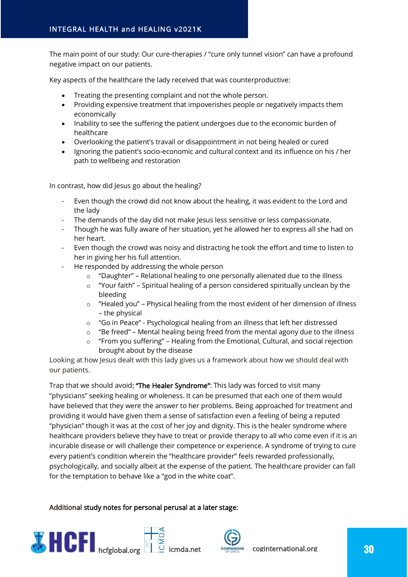The main point of our study: Our cure-therapies / "cure only tunnel vision" can have a profound negative impact on our patients.

Key aspects of the healthcare the lady received that was counterproductive:

- Treating the presenting complaint and not the whole person.
- Providing expensive treatment that impoverishes people or negatively impacts them economically
- Inability to see the suffering the patient undergoes due to the economic burden of healthcare
- Overlooking the patient's travail or disappointment in not being healed or cured
- Ignoring the patient's socio-economic and cultural context and its influence on his / her path to wellbeing and restoration

In contrast, how did Jesus go about the healing?

- Even though the crowd did not know about the healing, it was evident to the Lord and the lady
- The demands of the day did not make Jesus less sensitive or less compassionate.
- Though he was fully aware of her situation, yet he allowed her to express all she had on her heart.
- Even though the crowd was noisy and distracting he took the effort and time to listen to her in giving her his full attention.
- He responded by addressing the whole person
	- o "Daughter" Relational healing to one personally alienated due to the illness
	- $\circ$  "Your faith" Spiritual healing of a person considered spiritually unclean by the bleeding
	- o "Healed you" Physical healing from the most evident of her dimension of illness – the physical
	- $\circ$  "Go in Peace" Psychological healing from an illness that left her distressed
	- o "Be freed" Mental healing being freed from the mental agony due to the illness
	- o "From you suffering" Healing from the Emotional, Cultural, and social rejection brought about by the disease

Looking at how Jesus dealt with this lady gives us a framework about how we should deal with our patients.

Trap that we should avoid: "The Healer Syndrome": This lady was forced to visit many "physicians" seeking healing or wholeness. It can be presumed that each one of them would have believed that they were the answer to her problems. Being approached for treatment and providing it would have given them a sense of satisfaction even a feeling of being a reputed "physician" though it was at the cost of her joy and dignity. This is the healer syndrome where healthcare providers believe they have to treat or provide therapy to all who come even if it is an incurable disease or will challenge their competence or experience. A syndrome of trying to cure every patient's condition wherein the "healthcare provider" feels rewarded professionally, psychologically, and socially albeit at the expense of the patient. The healthcare provider can fall for the temptation to behave like a "god in the white coat".

#### Additional study notes for personal perusal at a later stage:



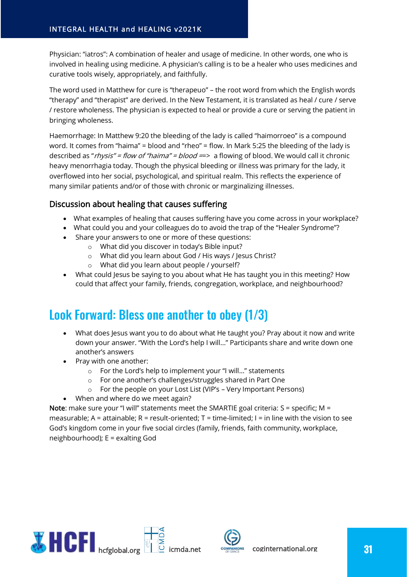Physician: "iatros": A combination of healer and usage of medicine. In other words, one who is involved in healing using medicine. A physician's calling is to be a healer who uses medicines and curative tools wisely, appropriately, and faithfully.

The word used in Matthew for cure is "therapeuo" – the root word from which the English words "therapy" and "therapist" are derived. In the New Testament, it is translated as heal / cure / serve / restore wholeness. The physician is expected to heal or provide a cure or serving the patient in bringing wholeness.

Haemorrhage: In Matthew 9:20 the bleeding of the lady is called "haimorroeo" is a compound word. It comes from "haima" = blood and "rheo" = flow. In Mark 5:25 the bleeding of the lady is described as "*rhysis" = flow of "haima" = blood =*  $>$  a flowing of blood. We would call it chronic heavy menorrhagia today. Though the physical bleeding or illness was primary for the lady, it overflowed into her social, psychological, and spiritual realm. This reflects the experience of many similar patients and/or of those with chronic or marginalizing illnesses.

#### <span id="page-30-0"></span>Discussion about healing that causes suffering

- What examples of healing that causes suffering have you come across in your workplace?
- What could you and your colleagues do to avoid the trap of the "Healer Syndrome"?
- Share your answers to one or more of these questions:
	- o What did you discover in today's Bible input?
	- o What did you learn about God / His ways / Jesus Christ?
	- o What did you learn about people / yourself?
- What could Jesus be saying to you about what He has taught you in this meeting? How could that affect your family, friends, congregation, workplace, and neighbourhood?

## <span id="page-30-1"></span>Look Forward: Bless one another to obey (1/3)

- What does Jesus want you to do about what He taught you? Pray about it now and write down your answer. "With the Lord's help I will…" Participants share and write down one another's answers
- Pray with one another:
	- o For the Lord's help to implement your "I will…" statements
	- o For one another's challenges/struggles shared in Part One
	- o For the people on your Lost List (VIP's Very Important Persons)
	- When and where do we meet again?

Note: make sure your "I will" statements meet the SMARTIE goal criteria:  $S =$  specific; M = measurable; A = attainable; R = result-oriented; T = time-limited; I = in line with the vision to see God's kingdom come in your five social circles (family, friends, faith community, workplace, neighbourhood); E = exalting God



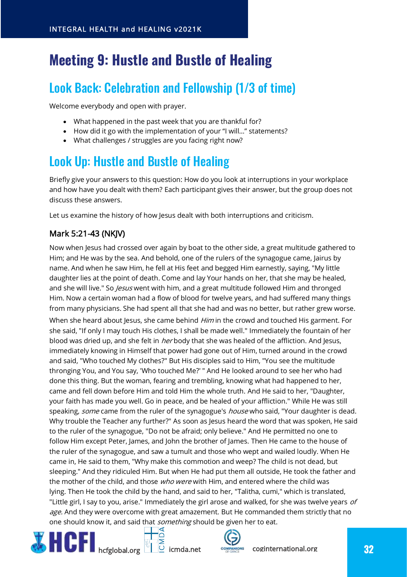# <span id="page-31-0"></span>**Meeting 9: Hustle and Bustle of Healing**

## <span id="page-31-1"></span>Look Back: Celebration and Fellowship (1/3 of time)

Welcome everybody and open with prayer.

- What happened in the past week that you are thankful for?
- How did it go with the implementation of your "I will…" statements?
- What challenges / struggles are you facing right now?

## <span id="page-31-2"></span>Look Up: Hustle and Bustle of Healing

Briefly give your answers to this question: How do you look at interruptions in your workplace and how have you dealt with them? Each participant gives their answer, but the group does not discuss these answers.

Let us examine the history of how lesus dealt with both interruptions and criticism.

#### <span id="page-31-3"></span>Mark 5:21-43 (NKJV)

Now when Jesus had crossed over again by boat to the other side, a great multitude gathered to Him; and He was by the sea. And behold, one of the rulers of the synagogue came, Jairus by name. And when he saw Him, he fell at His feet and begged Him earnestly, saying, "My little daughter lies at the point of death. Come and lay Your hands on her, that she may be healed, and she will live." So *Jesus* went with him, and a great multitude followed Him and thronged Him. Now a certain woman had a flow of blood for twelve years, and had suffered many things from many physicians. She had spent all that she had and was no better, but rather grew worse.

When she heard about Jesus, she came behind *Him* in the crowd and touched His garment. For she said, "If only I may touch His clothes, I shall be made well." Immediately the fountain of her blood was dried up, and she felt in *her* body that she was healed of the affliction. And Jesus, immediately knowing in Himself that power had gone out of Him, turned around in the crowd and said, "Who touched My clothes?" But His disciples said to Him, "You see the multitude thronging You, and You say, 'Who touched Me?' " And He looked around to see her who had done this thing. But the woman, fearing and trembling, knowing what had happened to her, came and fell down before Him and told Him the whole truth. And He said to her, "Daughter, your faith has made you well. Go in peace, and be healed of your affliction." While He was still speaking, *some* came from the ruler of the synagogue's *house* who said, "Your daughter is dead. Why trouble the Teacher any further?" As soon as Jesus heard the word that was spoken, He said to the ruler of the synagogue, "Do not be afraid; only believe." And He permitted no one to follow Him except Peter, James, and John the brother of James. Then He came to the house of the ruler of the synagogue, and saw a tumult and those who wept and wailed loudly. When He came in, He said to them, "Why make this commotion and weep? The child is not dead, but sleeping." And they ridiculed Him. But when He had put them all outside, He took the father and the mother of the child, and those *who were* with Him, and entered where the child was lying. Then He took the child by the hand, and said to her, "Talitha, cumi," which is translated, "Little girl, I say to you, arise." Immediately the girl arose and walked, for she was twelve years of age. And they were overcome with great amazement. But He commanded them strictly that no one should know it, and said that *something* should be given her to eat.



 $\overline{\mathsf{C}}$  icmda.net

ها



hcfglobal.org **10** icmda.net **companions** coginternational.org **132** coginternational.org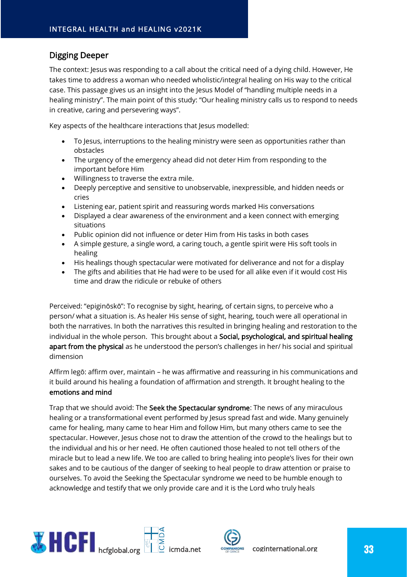#### <span id="page-32-0"></span>Digging Deeper

The context: Jesus was responding to a call about the critical need of a dying child. However, He takes time to address a woman who needed wholistic/integral healing on His way to the critical case. This passage gives us an insight into the Jesus Model of "handling multiple needs in a healing ministry". The main point of this study: "Our healing ministry calls us to respond to needs in creative, caring and persevering ways".

Key aspects of the healthcare interactions that Jesus modelled:

- To Jesus, interruptions to the healing ministry were seen as opportunities rather than obstacles
- The urgency of the emergency ahead did not deter Him from responding to the important before Him
- Willingness to traverse the extra mile.
- Deeply perceptive and sensitive to unobservable, inexpressible, and hidden needs or cries
- Listening ear, patient spirit and reassuring words marked His conversations
- Displayed a clear awareness of the environment and a keen connect with emerging situations
- Public opinion did not influence or deter Him from His tasks in both cases
- A simple gesture, a single word, a caring touch, a gentle spirit were His soft tools in healing
- His healings though spectacular were motivated for deliverance and not for a display
- The gifts and abilities that He had were to be used for all alike even if it would cost His time and draw the ridicule or rebuke of others

Perceived: "epiginōskō": To recognise by sight, hearing, of certain signs, to perceive who a person/ what a situation is. As healer His sense of sight, hearing, touch were all operational in both the narratives. In both the narratives this resulted in bringing healing and restoration to the individual in the whole person. This brought about a Social, psychological, and spiritual healing apart from the physical as he understood the person's challenges in her/ his social and spiritual dimension

Affirm legō: affirm over, maintain – he was affirmative and reassuring in his communications and it build around his healing a foundation of affirmation and strength. It brought healing to the emotions and mind

Trap that we should avoid: The Seek the Spectacular syndrome: The news of any miraculous healing or a transformational event performed by Jesus spread fast and wide. Many genuinely came for healing, many came to hear Him and follow Him, but many others came to see the spectacular. However, Jesus chose not to draw the attention of the crowd to the healings but to the individual and his or her need. He often cautioned those healed to not tell others of the miracle but to lead a new life. We too are called to bring healing into people's lives for their own sakes and to be cautious of the danger of seeking to heal people to draw attention or praise to ourselves. To avoid the Seeking the Spectacular syndrome we need to be humble enough to acknowledge and testify that we only provide care and it is the Lord who truly heals





coginternational.org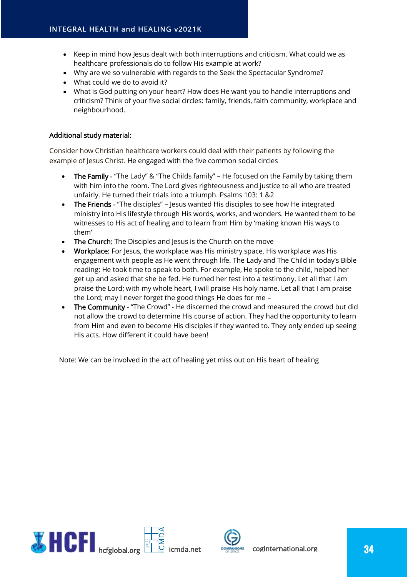- Keep in mind how Jesus dealt with both interruptions and criticism. What could we as healthcare professionals do to follow His example at work?
- Why are we so vulnerable with regards to the Seek the Spectacular Syndrome?
- What could we do to avoid it?
- What is God putting on your heart? How does He want you to handle interruptions and criticism? Think of your five social circles: family, friends, faith community, workplace and neighbourhood.

#### Additional study material:

Consider how Christian healthcare workers could deal with their patients by following the example of Jesus Christ. He engaged with the five common social circles

- The Family "The Lady" & "The Childs family" He focused on the Family by taking them with him into the room. The Lord gives righteousness and justice to all who are treated unfairly. He turned their trials into a triumph. Psalms 103: 1 &2
- The Friends "The disciples" Jesus wanted His disciples to see how He integrated ministry into His lifestyle through His words, works, and wonders. He wanted them to be witnesses to His act of healing and to learn from Him by 'making known His ways to them'
- The Church: The Disciples and Jesus is the Church on the move
- Workplace: For Jesus, the workplace was His ministry space. His workplace was His engagement with people as He went through life. The Lady and The Child in today's Bible reading: He took time to speak to both. For example, He spoke to the child, helped her get up and asked that she be fed. He turned her test into a testimony. Let all that I am praise the Lord; with my whole heart, I will praise His holy name. Let all that I am praise the Lord; may I never forget the good things He does for me –
- The Community "The Crowd" He discerned the crowd and measured the crowd but did not allow the crowd to determine His course of action. They had the opportunity to learn from Him and even to become His disciples if they wanted to. They only ended up seeing His acts. How different it could have been!

Note: We can be involved in the act of healing yet miss out on His heart of healing



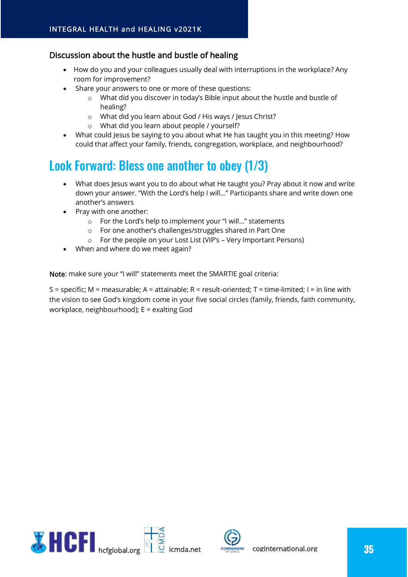#### <span id="page-34-0"></span>Discussion about the hustle and bustle of healing

- How do you and your colleagues usually deal with interruptions in the workplace? Any room for improvement?
- Share your answers to one or more of these questions:
	- o What did you discover in today's Bible input about the hustle and bustle of healing?
	- o What did you learn about God / His ways / Jesus Christ?
	- o What did you learn about people / yourself?
- What could Jesus be saying to you about what He has taught you in this meeting? How could that affect your family, friends, congregation, workplace, and neighbourhood?

## <span id="page-34-1"></span>Look Forward: Bless one another to obey (1/3)

- What does Jesus want you to do about what He taught you? Pray about it now and write down your answer. "With the Lord's help I will…" Participants share and write down one another's answers
- Pray with one another:
	- o For the Lord's help to implement your "I will…" statements
	- o For one another's challenges/struggles shared in Part One
	- o For the people on your Lost List (VIP's Very Important Persons)
- When and where do we meet again?

Note: make sure your "I will" statements meet the SMARTIE goal criteria:



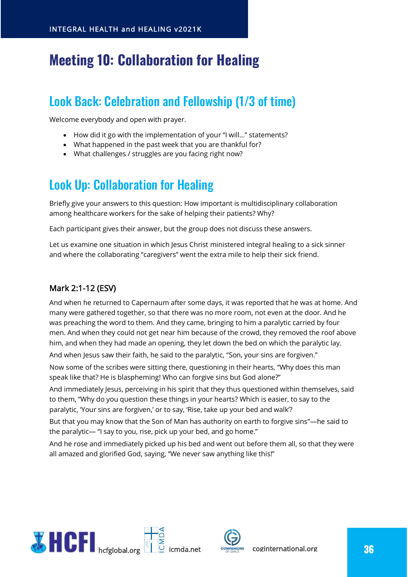# <span id="page-35-0"></span>**Meeting 10: Collaboration for Healing**

## <span id="page-35-1"></span>Look Back: Celebration and Fellowship (1/3 of time)

Welcome everybody and open with prayer.

- How did it go with the implementation of your "I will…" statements?
- What happened in the past week that you are thankful for?
- What challenges / struggles are you facing right now?

## <span id="page-35-2"></span>Look Up: Collaboration for Healing

Briefly give your answers to this question: How important is multidisciplinary collaboration among healthcare workers for the sake of helping their patients? Why?

Each participant gives their answer, but the group does not discuss these answers.

Let us examine one situation in which Jesus Christ ministered integral healing to a sick sinner and where the collaborating "caregivers" went the extra mile to help their sick friend.

#### <span id="page-35-3"></span>Mark 2:1-12 (ESV)

And when he returned to Capernaum after some days, it was reported that he was at home. And many were gathered together, so that there was no more room, not even at the door. And he was preaching the word to them. And they came, bringing to him a paralytic carried by four men. And when they could not get near him because of the crowd, they removed the roof above him, and when they had made an opening, they let down the bed on which the paralytic lay.

And when Jesus saw their faith, he said to the paralytic, "Son, your sins are forgiven."

Now some of the scribes were sitting there, questioning in their hearts, "Why does this man speak like that? He is blaspheming! Who can forgive sins but God alone?"

And immediately Jesus, perceiving in his spirit that they thus questioned within themselves, said to them, "Why do you question these things in your hearts? Which is easier, to say to the paralytic, 'Your sins are forgiven,' or to say, 'Rise, take up your bed and walk'?

But that you may know that the Son of Man has authority on earth to forgive sins"—he said to the paralytic— "I say to you, rise, pick up your bed, and go home."

And he rose and immediately picked up his bed and went out before them all, so that they were all amazed and glorified God, saying, "We never saw anything like this!"



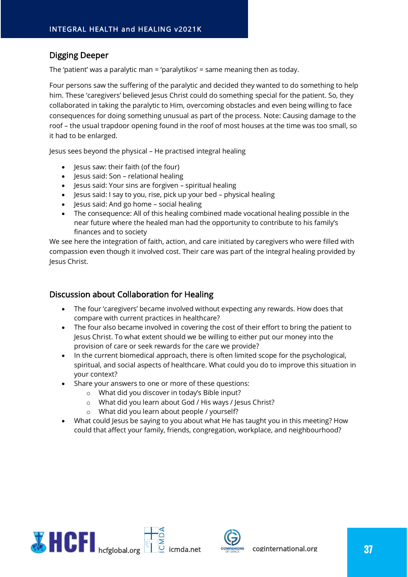#### <span id="page-36-0"></span>Digging Deeper

The 'patient' was a paralytic man = 'paralytikos' = same meaning then as today.

Four persons saw the suffering of the paralytic and decided they wanted to do something to help him. These 'caregivers' believed Jesus Christ could do something special for the patient. So, they collaborated in taking the paralytic to Him, overcoming obstacles and even being willing to face consequences for doing something unusual as part of the process. Note: Causing damage to the roof – the usual trapdoor opening found in the roof of most houses at the time was too small, so it had to be enlarged.

Jesus sees beyond the physical – He practised integral healing

- Jesus saw: their faith (of the four)
- Jesus said: Son relational healing
- Jesus said: Your sins are forgiven spiritual healing
- Jesus said: I say to you, rise, pick up your bed physical healing
- Jesus said: And go home social healing
- The consequence: All of this healing combined made vocational healing possible in the near future where the healed man had the opportunity to contribute to his family's finances and to society

We see here the integration of faith, action, and care initiated by caregivers who were filled with compassion even though it involved cost. Their care was part of the integral healing provided by Jesus Christ.

#### <span id="page-36-1"></span>Discussion about Collaboration for Healing

- The four 'caregivers' became involved without expecting any rewards. How does that compare with current practices in healthcare?
- The four also became involved in covering the cost of their effort to bring the patient to Jesus Christ. To what extent should we be willing to either put our money into the provision of care or seek rewards for the care we provide?
- In the current biomedical approach, there is often limited scope for the psychological, spiritual, and social aspects of healthcare. What could you do to improve this situation in your context?
- Share your answers to one or more of these questions:
	- o What did you discover in today's Bible input?
	- o What did you learn about God / His ways / Jesus Christ?
	- o What did you learn about people / yourself?
- What could Jesus be saying to you about what He has taught you in this meeting? How could that affect your family, friends, congregation, workplace, and neighbourhood?



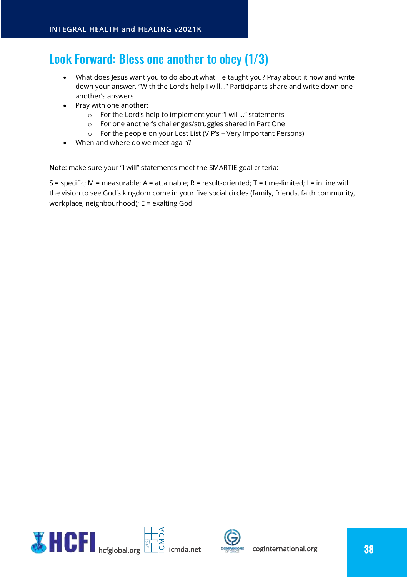## <span id="page-37-0"></span>Look Forward: Bless one another to obey (1/3)

- What does Jesus want you to do about what He taught you? Pray about it now and write down your answer. "With the Lord's help I will…" Participants share and write down one another's answers
- Pray with one another:
	- o For the Lord's help to implement your "I will…" statements
	- o For one another's challenges/struggles shared in Part One
	- o For the people on your Lost List (VIP's Very Important Persons)
- When and where do we meet again?

Note: make sure your "I will" statements meet the SMARTIE goal criteria:



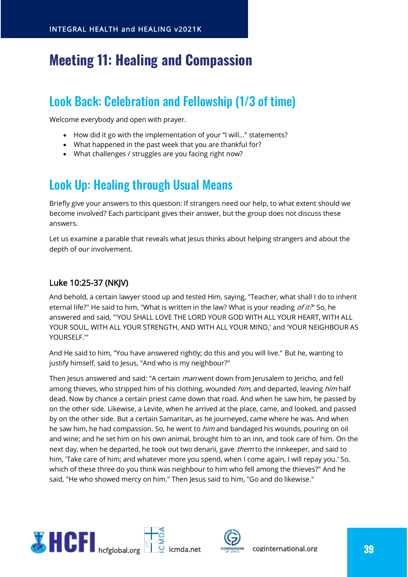# <span id="page-38-0"></span>**Meeting 11: Healing and Compassion**

## <span id="page-38-1"></span>Look Back: Celebration and Fellowship (1/3 of time)

Welcome everybody and open with prayer.

- How did it go with the implementation of your "I will…" statements?
- What happened in the past week that you are thankful for?
- What challenges / struggles are you facing right now?

## <span id="page-38-2"></span>Look Up: Healing through Usual Means

Briefly give your answers to this question: If strangers need our help, to what extent should we become involved? Each participant gives their answer, but the group does not discuss these answers.

Let us examine a parable that reveals what Jesus thinks about helping strangers and about the depth of our involvement.

#### <span id="page-38-3"></span>Luke 10:25-37 (NKJV)

And behold, a certain lawyer stood up and tested Him, saying, "Teacher, what shall I do to inherit eternal life?" He said to him, "What is written in the law? What is your reading  $of it$ ?" So, he answered and said, "'YOU SHALL LOVE THE LORD YOUR GOD WITH ALL YOUR HEART, WITH ALL YOUR SOUL, WITH ALL YOUR STRENGTH, AND WITH ALL YOUR MIND,' and 'YOUR NEIGHBOUR AS YOURSELF.'"

And He said to him, "You have answered rightly; do this and you will live." But he, wanting to justify himself, said to Jesus, "And who is my neighbour?"

Then Jesus answered and said: "A certain *man* went down from Jerusalem to Jericho, and fell among thieves, who stripped him of his clothing, wounded *him*, and departed, leaving *him* half dead. Now by chance a certain priest came down that road. And when he saw him, he passed by on the other side. Likewise, a Levite, when he arrived at the place, came, and looked, and passed by on the other side. But a certain Samaritan, as he journeyed, came where he was. And when he saw him, he had compassion. So, he went to *him* and bandaged his wounds, pouring on oil and wine; and he set him on his own animal, brought him to an inn, and took care of him. On the next day, when he departed, he took out two denarii, gave *them* to the innkeeper, and said to him, 'Take care of him; and whatever more you spend, when I come again, I will repay you.' So, which of these three do you think was neighbour to him who fell among the thieves?" And he said, "He who showed mercy on him." Then Jesus said to him, "Go and do likewise."



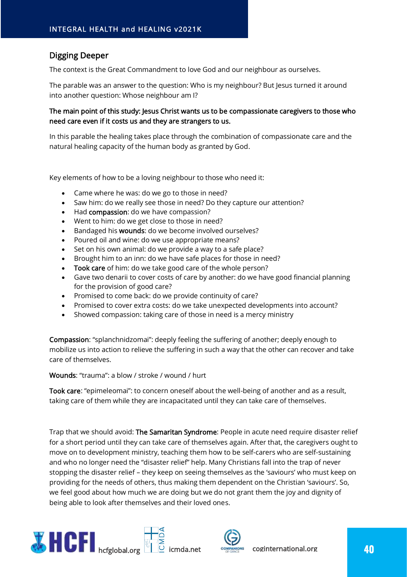#### <span id="page-39-0"></span>Digging Deeper

The context is the Great Commandment to love God and our neighbour as ourselves.

The parable was an answer to the question: Who is my neighbour? But Jesus turned it around into another question: Whose neighbour am I?

#### The main point of this study: Jesus Christ wants us to be compassionate caregivers to those who need care even if it costs us and they are strangers to us.

In this parable the healing takes place through the combination of compassionate care and the natural healing capacity of the human body as granted by God.

Key elements of how to be a loving neighbour to those who need it:

- Came where he was: do we go to those in need?
- Saw him: do we really see those in need? Do they capture our attention?
- Had compassion: do we have compassion?
- Went to him: do we get close to those in need?
- Bandaged his wounds: do we become involved ourselves?
- Poured oil and wine: do we use appropriate means?
- Set on his own animal: do we provide a way to a safe place?
- Brought him to an inn: do we have safe places for those in need?
- Took care of him: do we take good care of the whole person?
- Gave two denarii to cover costs of care by another: do we have good financial planning for the provision of good care?
- Promised to come back: do we provide continuity of care?
- Promised to cover extra costs: do we take unexpected developments into account?
- Showed compassion: taking care of those in need is a mercy ministry

Compassion: "splanchnidzomai": deeply feeling the suffering of another; deeply enough to mobilize us into action to relieve the suffering in such a way that the other can recover and take care of themselves.

Wounds: "trauma": a blow / stroke / wound / hurt

Took care: "epimeleomai": to concern oneself about the well-being of another and as a result, taking care of them while they are incapacitated until they can take care of themselves.

Trap that we should avoid: The Samaritan Syndrome: People in acute need require disaster relief for a short period until they can take care of themselves again. After that, the caregivers ought to move on to development ministry, teaching them how to be self-carers who are self-sustaining and who no longer need the "disaster relief" help. Many Christians fall into the trap of never stopping the disaster relief – they keep on seeing themselves as the 'saviours' who must keep on providing for the needs of others, thus making them dependent on the Christian 'saviours'. So, we feel good about how much we are doing but we do not grant them the joy and dignity of being able to look after themselves and their loved ones.





coginternational.org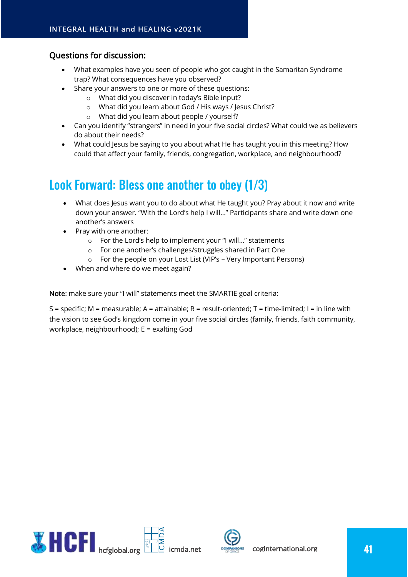#### <span id="page-40-0"></span>Questions for discussion:

- What examples have you seen of people who got caught in the Samaritan Syndrome trap? What consequences have you observed?
- Share your answers to one or more of these questions:
	- o What did you discover in today's Bible input?
	- o What did you learn about God / His ways / Jesus Christ?
	- o What did you learn about people / yourself?
- Can you identify "strangers" in need in your five social circles? What could we as believers do about their needs?
- What could Jesus be saying to you about what He has taught you in this meeting? How could that affect your family, friends, congregation, workplace, and neighbourhood?

## <span id="page-40-1"></span>Look Forward: Bless one another to obey (1/3)

- What does Jesus want you to do about what He taught you? Pray about it now and write down your answer. "With the Lord's help I will…" Participants share and write down one another's answers
- Pray with one another:
	- o For the Lord's help to implement your "I will…" statements
	- o For one another's challenges/struggles shared in Part One
	- o For the people on your Lost List (VIP's Very Important Persons)
- When and where do we meet again?

Note: make sure your "I will" statements meet the SMARTIE goal criteria:



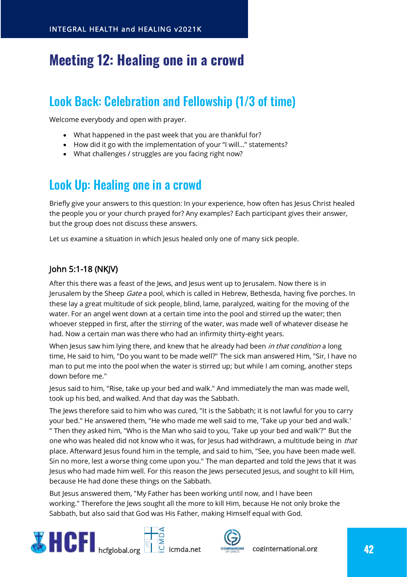# <span id="page-41-0"></span>**Meeting 12: Healing one in a crowd**

## <span id="page-41-1"></span>Look Back: Celebration and Fellowship (1/3 of time)

Welcome everybody and open with prayer.

- What happened in the past week that you are thankful for?
- How did it go with the implementation of your "I will…" statements?
- What challenges / struggles are you facing right now?

## <span id="page-41-2"></span>Look Up: Healing one in a crowd

Briefly give your answers to this question: In your experience, how often has Jesus Christ healed the people you or your church prayed for? Any examples? Each participant gives their answer, but the group does not discuss these answers.

Let us examine a situation in which Jesus healed only one of many sick people.

#### <span id="page-41-3"></span>John 5:1-18 (NKJV)

After this there was a feast of the Jews, and Jesus went up to Jerusalem. Now there is in Jerusalem by the Sheep Gate a pool, which is called in Hebrew, Bethesda, having five porches. In these lay a great multitude of sick people, blind, lame, paralyzed, waiting for the moving of the water. For an angel went down at a certain time into the pool and stirred up the water; then whoever stepped in first, after the stirring of the water, was made well of whatever disease he had. Now a certain man was there who had an infirmity thirty-eight years.

When Jesus saw him lying there, and knew that he already had been in that condition a long time, He said to him, "Do you want to be made well?" The sick man answered Him, "Sir, I have no man to put me into the pool when the water is stirred up; but while I am coming, another steps down before me."

Jesus said to him, "Rise, take up your bed and walk." And immediately the man was made well, took up his bed, and walked. And that day was the Sabbath.

The Jews therefore said to him who was cured, "It is the Sabbath; it is not lawful for you to carry your bed." He answered them, "He who made me well said to me, 'Take up your bed and walk.' " Then they asked him, "Who is the Man who said to you, 'Take up your bed and walk'?" But the one who was healed did not know who it was, for Jesus had withdrawn, a multitude being in that place. Afterward Jesus found him in the temple, and said to him, "See, you have been made well. Sin no more, lest a worse thing come upon you." The man departed and told the Jews that it was Jesus who had made him well. For this reason the Jews persecuted Jesus, and sought to kill Him, because He had done these things on the Sabbath.

But Jesus answered them, "My Father has been working until now, and I have been working." Therefore the Jews sought all the more to kill Him, because He not only broke the Sabbath, but also said that God was His Father, making Himself equal with God.





coginternational.org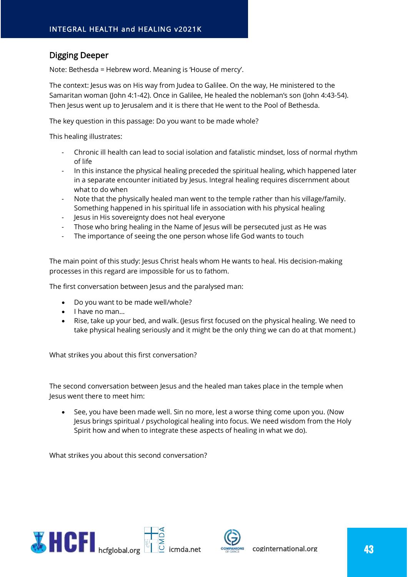#### <span id="page-42-0"></span>Digging Deeper

Note: Bethesda = Hebrew word. Meaning is 'House of mercy'.

The context: Jesus was on His way from Judea to Galilee. On the way, He ministered to the Samaritan woman (John 4:1-42). Once in Galilee, He healed the nobleman's son (John 4:43-54). Then Jesus went up to Jerusalem and it is there that He went to the Pool of Bethesda.

The key question in this passage: Do you want to be made whole?

This healing illustrates:

- Chronic ill health can lead to social isolation and fatalistic mindset, loss of normal rhythm of life
- In this instance the physical healing preceded the spiritual healing, which happened later in a separate encounter initiated by Jesus. Integral healing requires discernment about what to do when
- Note that the physically healed man went to the temple rather than his village/family. Something happened in his spiritual life in association with his physical healing
- Jesus in His sovereignty does not heal everyone
- Those who bring healing in the Name of Jesus will be persecuted just as He was
- The importance of seeing the one person whose life God wants to touch

The main point of this study: Jesus Christ heals whom He wants to heal. His decision-making processes in this regard are impossible for us to fathom.

The first conversation between Jesus and the paralysed man:

- Do you want to be made well/whole?
- I have no man...
- Rise, take up your bed, and walk. (Jesus first focused on the physical healing. We need to take physical healing seriously and it might be the only thing we can do at that moment.)

What strikes you about this first conversation?

The second conversation between Jesus and the healed man takes place in the temple when Jesus went there to meet him:

• See, you have been made well. Sin no more, lest a worse thing come upon you. (Now Jesus brings spiritual / psychological healing into focus. We need wisdom from the Holy Spirit how and when to integrate these aspects of healing in what we do).

What strikes you about this second conversation?



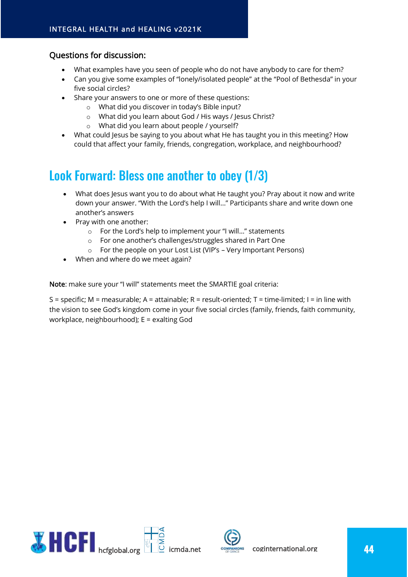#### <span id="page-43-0"></span>Questions for discussion:

- What examples have you seen of people who do not have anybody to care for them?
- Can you give some examples of "lonely/isolated people" at the "Pool of Bethesda" in your five social circles?
- Share your answers to one or more of these questions:
	- o What did you discover in today's Bible input?
	- o What did you learn about God / His ways / Jesus Christ?
	- o What did you learn about people / yourself?
- What could Jesus be saying to you about what He has taught you in this meeting? How could that affect your family, friends, congregation, workplace, and neighbourhood?

## <span id="page-43-1"></span>Look Forward: Bless one another to obey (1/3)

- What does Jesus want you to do about what He taught you? Pray about it now and write down your answer. "With the Lord's help I will…" Participants share and write down one another's answers
- Pray with one another:
	- o For the Lord's help to implement your "I will…" statements
	- o For one another's challenges/struggles shared in Part One
	- o For the people on your Lost List (VIP's Very Important Persons)
- When and where do we meet again?

Note: make sure your "I will" statements meet the SMARTIE goal criteria:



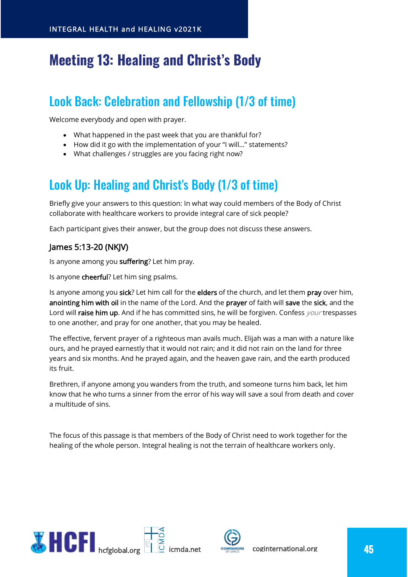# <span id="page-44-0"></span>**Meeting 13: Healing and Christ's Body**

## <span id="page-44-1"></span>Look Back: Celebration and Fellowship (1/3 of time)

Welcome everybody and open with prayer.

- What happened in the past week that you are thankful for?
- How did it go with the implementation of your "I will…" statements?
- What challenges / struggles are you facing right now?

## <span id="page-44-2"></span>Look Up: Healing and Christ's Body (1/3 of time)

Briefly give your answers to this question: In what way could members of the Body of Christ collaborate with healthcare workers to provide integral care of sick people?

Each participant gives their answer, but the group does not discuss these answers.

#### <span id="page-44-3"></span>James 5:13-20 (NKJV)

Is anyone among you suffering? Let him pray.

Is anyone cheerful? Let him sing psalms.

Is anyone among you sick? Let him call for the elders of the church, and let them pray over him, anointing him with oil in the name of the Lord. And the prayer of faith will save the sick, and the Lord will raise him up. And if he has committed sins, he will be forgiven. Confess your trespasses to one another, and pray for one another, that you may be healed.

The effective, fervent prayer of a righteous man avails much. Elijah was a man with a nature like ours, and he prayed earnestly that it would not rain; and it did not rain on the land for three years and six months. And he prayed again, and the heaven gave rain, and the earth produced its fruit.

Brethren, if anyone among you wanders from the truth, and someone turns him back, let him know that he who turns a sinner from the error of his way will save a soul from death and cover a multitude of sins.

The focus of this passage is that members of the Body of Christ need to work together for the healing of the whole person. Integral healing is not the terrain of healthcare workers only.



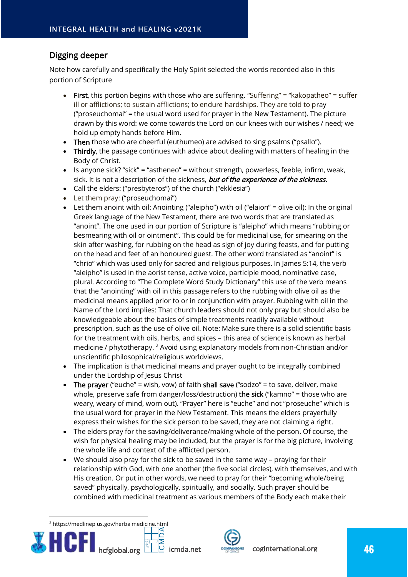#### <span id="page-45-0"></span>Digging deeper

Note how carefully and specifically the Holy Spirit selected the words recorded also in this portion of Scripture

- First, this portion begins with those who are suffering. "Suffering" = "kakopatheo" = suffer ill or afflictions; to sustain afflictions; to endure hardships. They are told to pray ("proseuchomai" = the usual word used for prayer in the New Testament). The picture drawn by this word: we come towards the Lord on our knees with our wishes / need; we hold up empty hands before Him.
- Then those who are cheerful (euthumeo) are advised to sing psalms ("psallo").
- Thirdly, the passage continues with advice about dealing with matters of healing in the Body of Christ.
- Is anyone sick? "sick" = "astheneo" = without strength, powerless, feeble, infirm, weak, sick. It is not a description of the sickness, but of the experience of the sickness.
- Call the elders: ("presbyteros") of the church ("ekklesia")
- Let them pray: ("proseuchomai")
- Let them anoint with oil: Anointing ("aleipho") with oil ("elaion" = olive oil): In the original Greek language of the New Testament, there are two words that are translated as "anoint". The one used in our portion of Scripture is "aleipho" which means "rubbing or besmearing with oil or ointment". This could be for medicinal use, for smearing on the skin after washing, for rubbing on the head as sign of joy during feasts, and for putting on the head and feet of an honoured guest. The other word translated as "anoint" is "chrio" which was used only for sacred and religious purposes. In James 5:14, the verb "aleipho" is used in the aorist tense, active voice, participle mood, nominative case, plural. According to "The Complete Word Study Dictionary" this use of the verb means that the "anointing" with oil in this passage refers to the rubbing with olive oil as the medicinal means applied prior to or in conjunction with prayer. Rubbing with oil in the Name of the Lord implies: That church leaders should not only pray but should also be knowledgeable about the basics of simple treatments readily available without prescription, such as the use of olive oil. Note: Make sure there is a solid scientific basis for the treatment with oils, herbs, and spices – this area of science is known as herbal medicine / phytotherapy. <sup>2</sup> Avoid using explanatory models from non-Christian and/or unscientific philosophical/religious worldviews.
- The implication is that medicinal means and prayer ought to be integrally combined under the Lordship of Jesus Christ
- The prayer ("euche" = wish, vow) of faith shall save ("sodzo" = to save, deliver, make whole, preserve safe from danger/loss/destruction) the sick ("kamno" = those who are weary, weary of mind, worn out). "Prayer" here is "euche" and not "proseuche" which is the usual word for prayer in the New Testament. This means the elders prayerfully express their wishes for the sick person to be saved, they are not claiming a right.
- The elders pray for the saving/deliverance/making whole of the person. Of course, the wish for physical healing may be included, but the prayer is for the big picture, involving the whole life and context of the afflicted person.
- We should also pray for the sick to be saved in the same way praying for their relationship with God, with one another (the five social circles), with themselves, and with His creation. Or put in other words, we need to pray for their "becoming whole/being saved" physically, psychologically, spiritually, and socially. Such prayer should be combined with medicinal treatment as various members of the Body each make their

<sup>2</sup> https://medlineplus.gov/herbalmedicine.html



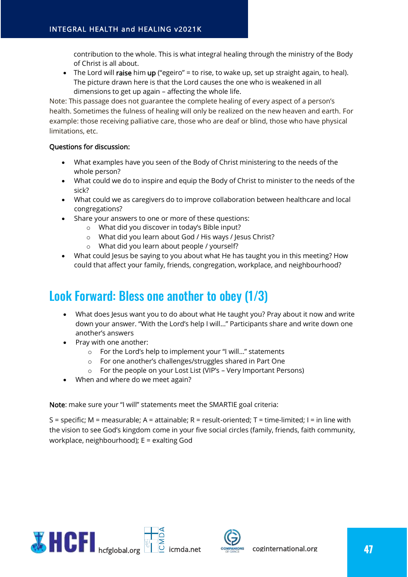contribution to the whole. This is what integral healing through the ministry of the Body of Christ is all about.

• The Lord will raise him up ("egeiro" = to rise, to wake up, set up straight again, to heal). The picture drawn here is that the Lord causes the one who is weakened in all dimensions to get up again – affecting the whole life.

Note: This passage does not guarantee the complete healing of every aspect of a person's health. Sometimes the fulness of healing will only be realized on the new heaven and earth. For example: those receiving palliative care, those who are deaf or blind, those who have physical limitations, etc.

#### Questions for discussion:

- What examples have you seen of the Body of Christ ministering to the needs of the whole person?
- What could we do to inspire and equip the Body of Christ to minister to the needs of the sick?
- What could we as caregivers do to improve collaboration between healthcare and local congregations?
- Share your answers to one or more of these questions:
	- o What did you discover in today's Bible input?
	- o What did you learn about God / His ways / Jesus Christ?
	- o What did you learn about people / yourself?
- What could Jesus be saying to you about what He has taught you in this meeting? How could that affect your family, friends, congregation, workplace, and neighbourhood?

## <span id="page-46-0"></span>Look Forward: Bless one another to obey (1/3)

- What does Jesus want you to do about what He taught you? Pray about it now and write down your answer. "With the Lord's help I will…" Participants share and write down one another's answers
- Pray with one another:
	- o For the Lord's help to implement your "I will…" statements
	- o For one another's challenges/struggles shared in Part One
	- o For the people on your Lost List (VIP's Very Important Persons)
- When and where do we meet again?

Note: make sure your "I will" statements meet the SMARTIE goal criteria:



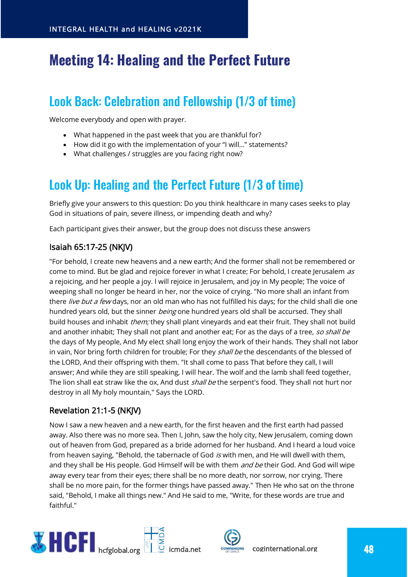# <span id="page-47-0"></span>**Meeting 14: Healing and the Perfect Future**

## <span id="page-47-1"></span>Look Back: Celebration and Fellowship (1/3 of time)

Welcome everybody and open with prayer.

- What happened in the past week that you are thankful for?
- How did it go with the implementation of your "I will…" statements?
- What challenges / struggles are you facing right now?

## <span id="page-47-2"></span>Look Up: Healing and the Perfect Future (1/3 of time)

Briefly give your answers to this question: Do you think healthcare in many cases seeks to play God in situations of pain, severe illness, or impending death and why?

Each participant gives their answer, but the group does not discuss these answers

#### <span id="page-47-3"></span>Isaiah 65:17-25 (NKJV)

"For behold, I create new heavens and a new earth; And the former shall not be remembered or come to mind. But be glad and rejoice forever in what I create; For behold, I create Jerusalem as a rejoicing, and her people a joy. I will rejoice in Jerusalem, and joy in My people; The voice of weeping shall no longer be heard in her, nor the voice of crying. "No more shall an infant from there *live but a few* days, nor an old man who has not fulfilled his days; for the child shall die one hundred years old, but the sinner *being* one hundred years old shall be accursed. They shall build houses and inhabit *them;* they shall plant vineyards and eat their fruit. They shall not build and another inhabit; They shall not plant and another eat; For as the days of a tree, so shall be the days of My people, And My elect shall long enjoy the work of their hands. They shall not labor in vain, Nor bring forth children for trouble; For they shall be the descendants of the blessed of the LORD, And their offspring with them. "It shall come to pass That before they call, I will answer; And while they are still speaking, I will hear. The wolf and the lamb shall feed together, The lion shall eat straw like the ox, And dust shall be the serpent's food. They shall not hurt nor destroy in all My holy mountain," Says the LORD.

#### <span id="page-47-4"></span>Revelation 21:1-5 (NKJV)

Now I saw a new heaven and a new earth, for the first heaven and the first earth had passed away. Also there was no more sea. Then I, John, saw the holy city, New Jerusalem, coming down out of heaven from God, prepared as a bride adorned for her husband. And I heard a loud voice from heaven saying, "Behold, the tabernacle of God is with men, and He will dwell with them, and they shall be His people. God Himself will be with them *and be* their God. And God will wipe away every tear from their eyes; there shall be no more death, nor sorrow, nor crying. There shall be no more pain, for the former things have passed away." Then He who sat on the throne said, "Behold, I make all things new." And He said to me, "Write, for these words are true and faithful."





coginternational.org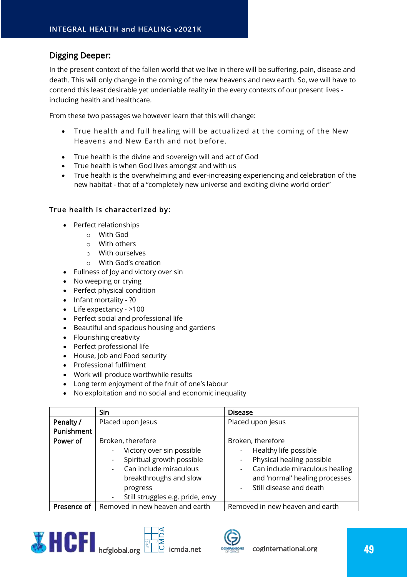#### <span id="page-48-0"></span>Digging Deeper:

In the present context of the fallen world that we live in there will be suffering, pain, disease and death. This will only change in the coming of the new heavens and new earth. So, we will have to contend this least desirable yet undeniable reality in the every contexts of our present lives including health and healthcare.

From these two passages we however learn that this will change:

- True health and full healing will be actualized at the coming of the New Heavens and New Earth and not before.
- True health is the divine and sovereign will and act of God
- True health is when God lives amongst and with us
- True health is the overwhelming and ever-increasing experiencing and celebration of the new habitat - that of a "completely new universe and exciting divine world order"

#### True health is characterized by:

- Perfect relationships
	- o With God
	- o With others
	- o With ourselves
	- o With God's creation
- Fullness of Joy and victory over sin
- No weeping or crying
- Perfect physical condition
- Infant mortality ?0
- Life expectancy >100
- Perfect social and professional life
- Beautiful and spacious housing and gardens
- Flourishing creativity
- Perfect professional life
- House, Job and Food security
- Professional fulfilment
- Work will produce worthwhile results
- Long term enjoyment of the fruit of one's labour
- No exploitation and no social and economic inequality

|             | Sin                                                                                                                                                                                                                                          | <b>Disease</b>                                                                                                                                                                                                       |  |
|-------------|----------------------------------------------------------------------------------------------------------------------------------------------------------------------------------------------------------------------------------------------|----------------------------------------------------------------------------------------------------------------------------------------------------------------------------------------------------------------------|--|
| Penalty /   | Placed upon Jesus                                                                                                                                                                                                                            | Placed upon Jesus                                                                                                                                                                                                    |  |
| Punishment  |                                                                                                                                                                                                                                              |                                                                                                                                                                                                                      |  |
| Power of    | Broken, therefore<br>Victory over sin possible<br>-<br>Spiritual growth possible<br>Can include miraculous<br>$\overline{\phantom{a}}$<br>breakthroughs and slow<br>progress<br>Still struggles e.g. pride, envy<br>$\overline{\phantom{a}}$ | Broken, therefore<br>Healthy life possible<br>Physical healing possible<br>Can include miraculous healing<br>$\overline{\phantom{a}}$<br>and 'normal' healing processes<br>Still disease and death<br>$\overline{a}$ |  |
| Presence of | Removed in new heaven and earth                                                                                                                                                                                                              | Removed in new heaven and earth                                                                                                                                                                                      |  |



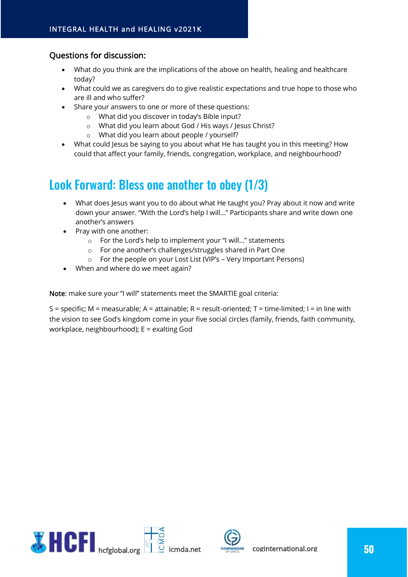#### <span id="page-49-0"></span>Questions for discussion:

- What do you think are the implications of the above on health, healing and healthcare today?
- What could we as caregivers do to give realistic expectations and true hope to those who are ill and who suffer?
- Share your answers to one or more of these questions:
	- o What did you discover in today's Bible input?
	- o What did you learn about God / His ways / Jesus Christ?
	- o What did you learn about people / yourself?
- What could Jesus be saying to you about what He has taught you in this meeting? How could that affect your family, friends, congregation, workplace, and neighbourhood?

## <span id="page-49-1"></span>Look Forward: Bless one another to obey (1/3)

- What does Jesus want you to do about what He taught you? Pray about it now and write down your answer. "With the Lord's help I will…" Participants share and write down one another's answers
- Pray with one another:
	- o For the Lord's help to implement your "I will…" statements
	- o For one another's challenges/struggles shared in Part One
	- o For the people on your Lost List (VIP's Very Important Persons)
- When and where do we meet again?

Note: make sure your "I will" statements meet the SMARTIE goal criteria:



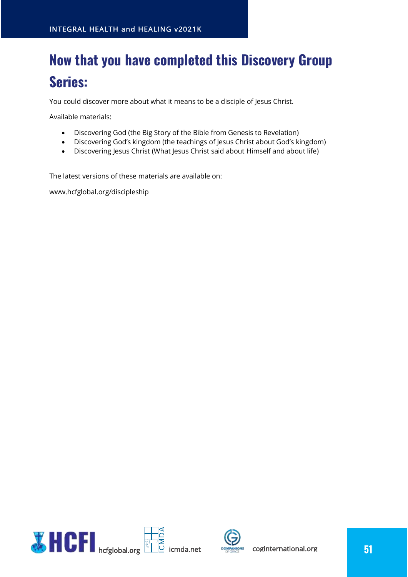# <span id="page-50-0"></span>**Now that you have completed this Discovery Group Series:**

You could discover more about what it means to be a disciple of Jesus Christ.

Available materials:

- Discovering God (the Big Story of the Bible from Genesis to Revelation)
- Discovering God's kingdom (the teachings of Jesus Christ about God's kingdom)
- Discovering Jesus Christ (What Jesus Christ said about Himself and about life)

The latest versions of these materials are available on:

www.hcfglobal.org/discipleship



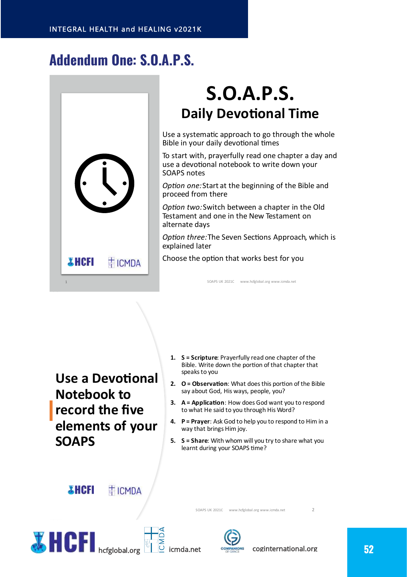# <span id="page-51-0"></span>**Addendum One: S.O.A.P.S.**



# **Daily Devotional Time**

Use a systematic approach to go through the whole Bible in your daily devotional times

To start with, prayerfully read one chapter a day and use a devotional notebook to write down your **SOAPS notes** 

Option one: Start at the beginning of the Bible and proceed from there

*Option two:* Switch between a chapter in the Old Testament and one in the New Testament on alternate davs

Option three: The Seven Sections Approach, which is explained later

Choose the option that works best for you

SOAPS UK 2021C www.hcfglobal.org www.icmda.net

Use a Devotional **Notebook to** record the five elements of your **SOAPS** 

- 1. S = Scripture: Prayerfully read one chapter of the Bible. Write down the portion of that chapter that speaks to you
- 2. O = Observation: What does this portion of the Bible say about God, His ways, people, you?
- 3. A = Application: How does God want you to respond to what He said to you through His Word?
- 4. P = Prayer: Ask God to help you to respond to Him in a way that brings Him joy.
- 5. S = Share: With whom will you try to share what you learnt during your SOAPS time?

T ICMDA **XHCFI** 









 $\overline{\phantom{a}}$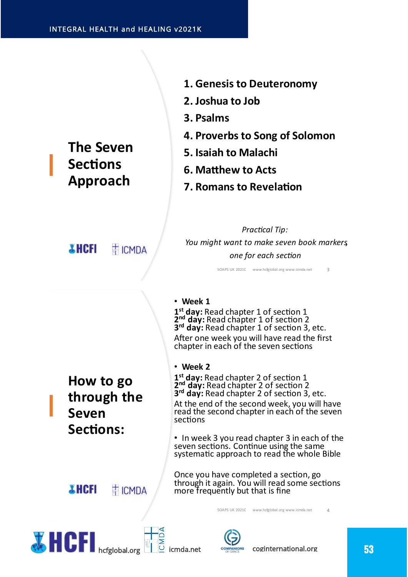## **The Seven Sections Approach**

T ICMDA

**XHCFI** 

- **1. Genesis to Deuteronomy**
- 2. Joshua to Job
- **3. Psalms**
- **4. Proverbs to Song of Solomon**
- **5. Isaiah to Malachi**
- **6. Matthew to Acts**
- **7. Romans to Revelation**

**Practical Tip:** You might want to make seven book markers one for each section

SOAPS UK 2021C www.hcfglobal.org www.icmda.net

 $\overline{z}$ 

#### Ĩ

 $\mathbf{1}^{\mathsf{s}}$  3' After one week you will have read the first chapter in each of the seven sections

How to go through the **Seven Sections:** 

**TICMDA** 

 $\bullet$ 

 $\mathbf{1}^{\mathsf{s}}$  3' At the end of the second week, you will have read the second chapter in each of the seven sections

 $\bullet$ seven sections. Continue using the same systematic approach to read the whole Bible

Once you have completed a section, go through it again. You will read some sections more frequently but that is fine

SOAPS UK 2021C www.hcfglobal.org www.icmda.net



**THCFI**